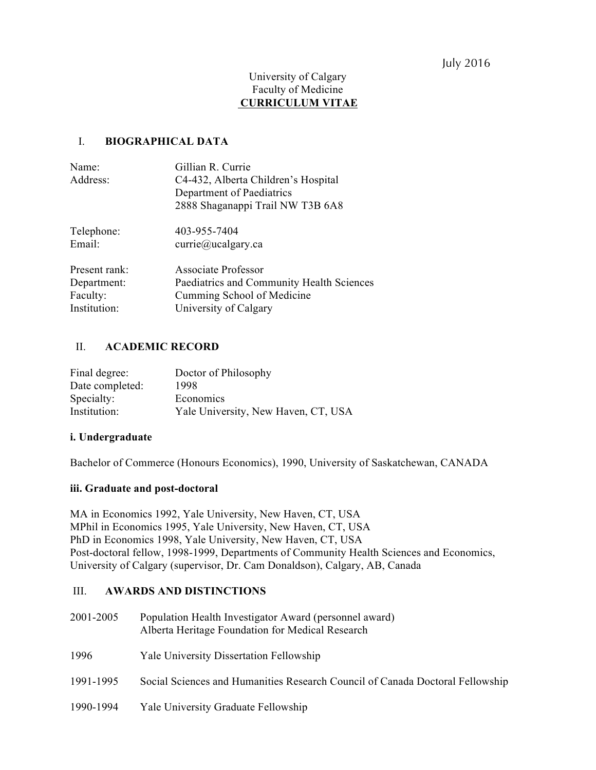## July 2016

### University of Calgary Faculty of Medicine **CURRICULUM VITAE**

### I. **BIOGRAPHICAL DATA**

| Name:         | Gillian R. Currie                         |
|---------------|-------------------------------------------|
| Address:      | C4-432, Alberta Children's Hospital       |
|               | Department of Paediatrics                 |
|               | 2888 Shaganappi Trail NW T3B 6A8          |
| Telephone:    | 403-955-7404                              |
| Email:        | currie@ucalgary.ca                        |
| Present rank: | Associate Professor                       |
| Department:   | Paediatrics and Community Health Sciences |
| Faculty:      | Cumming School of Medicine                |
| Institution:  | University of Calgary                     |

### II. **ACADEMIC RECORD**

| Final degree:   | Doctor of Philosophy                |
|-----------------|-------------------------------------|
| Date completed: | 1998                                |
| Specialty:      | Economics                           |
| Institution:    | Yale University, New Haven, CT, USA |

### **i. Undergraduate**

Bachelor of Commerce (Honours Economics), 1990, University of Saskatchewan, CANADA

### **iii. Graduate and post-doctoral**

MA in Economics 1992, Yale University, New Haven, CT, USA MPhil in Economics 1995, Yale University, New Haven, CT, USA PhD in Economics 1998, Yale University, New Haven, CT, USA Post-doctoral fellow, 1998-1999, Departments of Community Health Sciences and Economics, University of Calgary (supervisor, Dr. Cam Donaldson), Calgary, AB, Canada

### III. **AWARDS AND DISTINCTIONS**

- 2001-2005 Population Health Investigator Award (personnel award) Alberta Heritage Foundation for Medical Research
- 1996 Yale University Dissertation Fellowship
- 1991-1995 Social Sciences and Humanities Research Council of Canada Doctoral Fellowship
- 1990-1994 Yale University Graduate Fellowship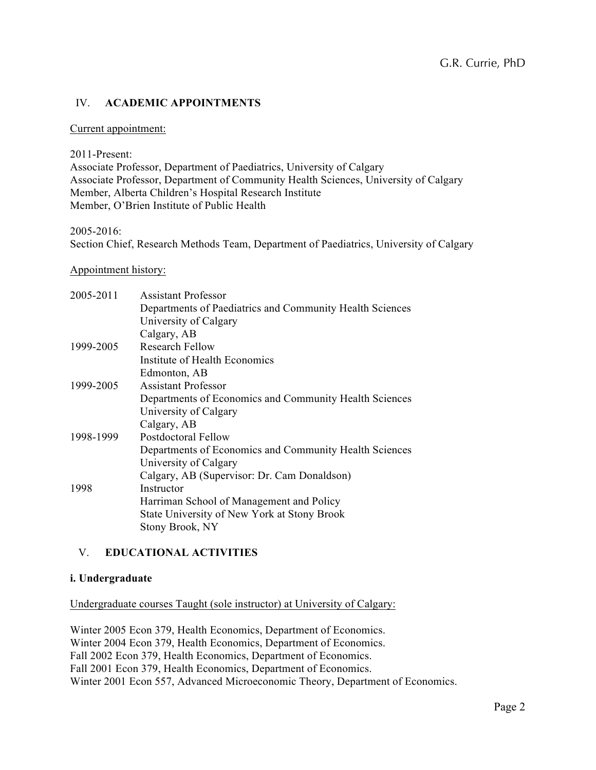## IV. **ACADEMIC APPOINTMENTS**

### Current appointment:

2011-Present:

Associate Professor, Department of Paediatrics, University of Calgary Associate Professor, Department of Community Health Sciences, University of Calgary Member, Alberta Children's Hospital Research Institute Member, O'Brien Institute of Public Health

2005-2016:

Section Chief, Research Methods Team, Department of Paediatrics, University of Calgary

### Appointment history:

| 2005-2011 | <b>Assistant Professor</b>                               |
|-----------|----------------------------------------------------------|
|           | Departments of Paediatrics and Community Health Sciences |
|           | University of Calgary                                    |
|           | Calgary, AB                                              |
| 1999-2005 | Research Fellow                                          |
|           | Institute of Health Economics                            |
|           | Edmonton, AB                                             |
| 1999-2005 | <b>Assistant Professor</b>                               |
|           | Departments of Economics and Community Health Sciences   |
|           | University of Calgary                                    |
|           | Calgary, AB                                              |
| 1998-1999 | Postdoctoral Fellow                                      |
|           | Departments of Economics and Community Health Sciences   |
|           | University of Calgary                                    |
|           | Calgary, AB (Supervisor: Dr. Cam Donaldson)              |
| 1998      | Instructor                                               |
|           | Harriman School of Management and Policy                 |
|           | State University of New York at Stony Brook              |
|           | Stony Brook, NY                                          |

## V. **EDUCATIONAL ACTIVITIES**

### **i. Undergraduate**

Undergraduate courses Taught (sole instructor) at University of Calgary:

Winter 2005 Econ 379, Health Economics, Department of Economics. Winter 2004 Econ 379, Health Economics, Department of Economics. Fall 2002 Econ 379, Health Economics, Department of Economics. Fall 2001 Econ 379, Health Economics, Department of Economics. Winter 2001 Econ 557, Advanced Microeconomic Theory, Department of Economics.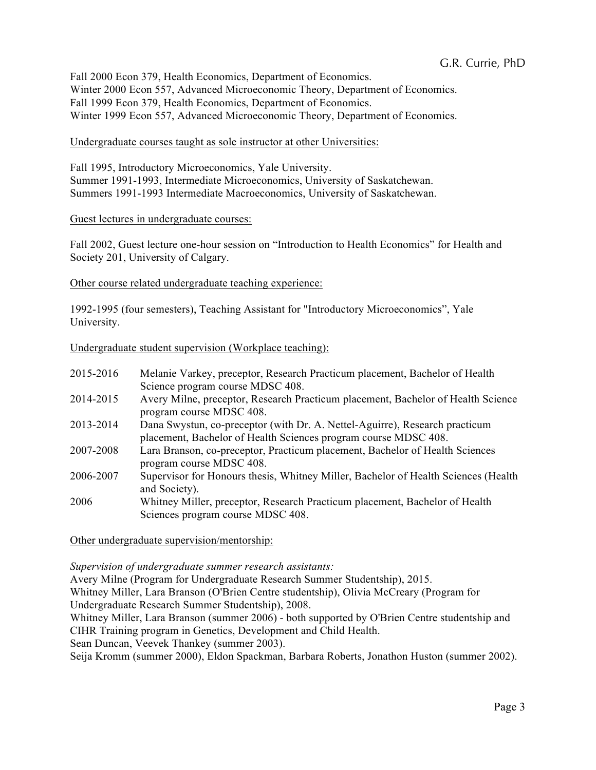Fall 2000 Econ 379, Health Economics, Department of Economics. Winter 2000 Econ 557, Advanced Microeconomic Theory, Department of Economics. Fall 1999 Econ 379, Health Economics, Department of Economics. Winter 1999 Econ 557, Advanced Microeconomic Theory, Department of Economics.

### Undergraduate courses taught as sole instructor at other Universities:

Fall 1995, Introductory Microeconomics, Yale University. Summer 1991-1993, Intermediate Microeconomics, University of Saskatchewan. Summers 1991-1993 Intermediate Macroeconomics, University of Saskatchewan.

### Guest lectures in undergraduate courses:

Fall 2002, Guest lecture one-hour session on "Introduction to Health Economics" for Health and Society 201, University of Calgary.

Other course related undergraduate teaching experience:

1992-1995 (four semesters), Teaching Assistant for "Introductory Microeconomics", Yale University.

Undergraduate student supervision (Workplace teaching):

| 2015-2016 | Melanie Varkey, preceptor, Research Practicum placement, Bachelor of Health<br>Science program course MDSC 408.                                |
|-----------|------------------------------------------------------------------------------------------------------------------------------------------------|
| 2014-2015 | Avery Milne, preceptor, Research Practicum placement, Bachelor of Health Science<br>program course MDSC 408.                                   |
| 2013-2014 | Dana Swystun, co-preceptor (with Dr. A. Nettel-Aguirre), Research practicum<br>placement, Bachelor of Health Sciences program course MDSC 408. |
| 2007-2008 | Lara Branson, co-preceptor, Practicum placement, Bachelor of Health Sciences<br>program course MDSC 408.                                       |
| 2006-2007 | Supervisor for Honours thesis, Whitney Miller, Bachelor of Health Sciences (Health<br>and Society).                                            |
| 2006      | Whitney Miller, preceptor, Research Practicum placement, Bachelor of Health<br>Sciences program course MDSC 408.                               |

Other undergraduate supervision/mentorship:

*Supervision of undergraduate summer research assistants:*

Avery Milne (Program for Undergraduate Research Summer Studentship), 2015. Whitney Miller, Lara Branson (O'Brien Centre studentship), Olivia McCreary (Program for Undergraduate Research Summer Studentship), 2008. Whitney Miller, Lara Branson (summer 2006) - both supported by O'Brien Centre studentship and

CIHR Training program in Genetics, Development and Child Health.

Sean Duncan, Veevek Thankey (summer 2003).

Seija Kromm (summer 2000), Eldon Spackman, Barbara Roberts, Jonathon Huston (summer 2002).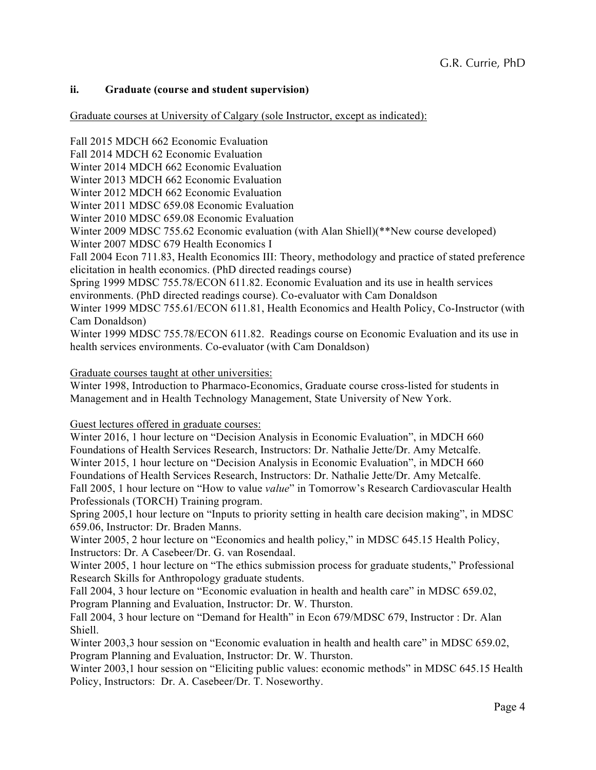## **ii. Graduate (course and student supervision)**

Graduate courses at University of Calgary (sole Instructor, except as indicated):

Fall 2015 MDCH 662 Economic Evaluation

Fall 2014 MDCH 62 Economic Evaluation

Winter 2014 MDCH 662 Economic Evaluation

Winter 2013 MDCH 662 Economic Evaluation

Winter 2012 MDCH 662 Economic Evaluation

Winter 2011 MDSC 659.08 Economic Evaluation

Winter 2010 MDSC 659.08 Economic Evaluation

Winter 2009 MDSC 755.62 Economic evaluation (with Alan Shiell)(\*\*New course developed)

Winter 2007 MDSC 679 Health Economics I

Fall 2004 Econ 711.83, Health Economics III: Theory, methodology and practice of stated preference elicitation in health economics. (PhD directed readings course)

Spring 1999 MDSC 755.78/ECON 611.82. Economic Evaluation and its use in health services environments. (PhD directed readings course). Co-evaluator with Cam Donaldson

Winter 1999 MDSC 755.61/ECON 611.81, Health Economics and Health Policy, Co-Instructor (with Cam Donaldson)

Winter 1999 MDSC 755.78/ECON 611.82. Readings course on Economic Evaluation and its use in health services environments. Co-evaluator (with Cam Donaldson)

Graduate courses taught at other universities:

Winter 1998, Introduction to Pharmaco-Economics, Graduate course cross-listed for students in Management and in Health Technology Management, State University of New York.

Guest lectures offered in graduate courses:

Winter 2016, 1 hour lecture on "Decision Analysis in Economic Evaluation", in MDCH 660 Foundations of Health Services Research, Instructors: Dr. Nathalie Jette/Dr. Amy Metcalfe. Winter 2015, 1 hour lecture on "Decision Analysis in Economic Evaluation", in MDCH 660 Foundations of Health Services Research, Instructors: Dr. Nathalie Jette/Dr. Amy Metcalfe.

Fall 2005, 1 hour lecture on "How to value *value*" in Tomorrow's Research Cardiovascular Health Professionals (TORCH) Training program.

Spring 2005,1 hour lecture on "Inputs to priority setting in health care decision making", in MDSC 659.06, Instructor: Dr. Braden Manns.

Winter 2005, 2 hour lecture on "Economics and health policy," in MDSC 645.15 Health Policy, Instructors: Dr. A Casebeer/Dr. G. van Rosendaal.

Winter 2005, 1 hour lecture on "The ethics submission process for graduate students," Professional Research Skills for Anthropology graduate students.

Fall 2004, 3 hour lecture on "Economic evaluation in health and health care" in MDSC 659.02, Program Planning and Evaluation, Instructor: Dr. W. Thurston.

Fall 2004, 3 hour lecture on "Demand for Health" in Econ 679/MDSC 679, Instructor : Dr. Alan Shiell.

Winter 2003,3 hour session on "Economic evaluation in health and health care" in MDSC 659.02, Program Planning and Evaluation, Instructor: Dr. W. Thurston.

Winter 2003,1 hour session on "Eliciting public values: economic methods" in MDSC 645.15 Health Policy, Instructors: Dr. A. Casebeer/Dr. T. Noseworthy.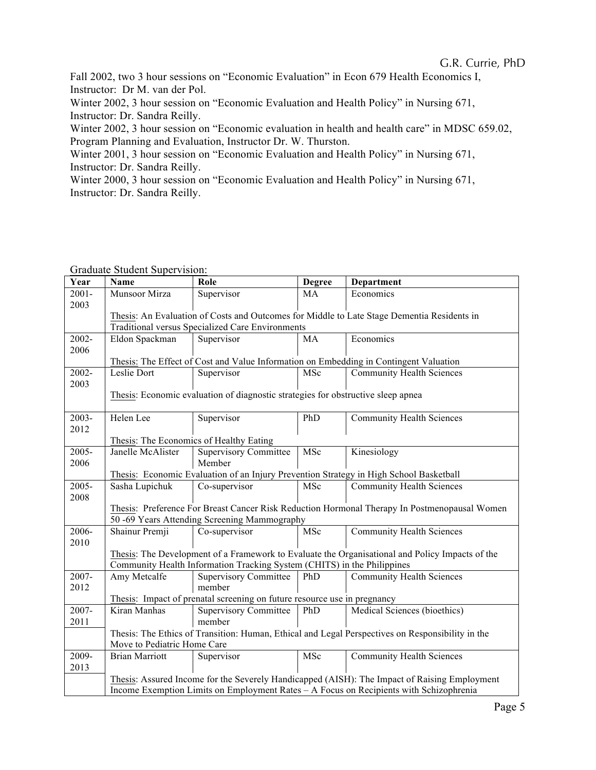## G.R. Currie, PhD

Fall 2002, two 3 hour sessions on "Economic Evaluation" in Econ 679 Health Economics I, Instructor: Dr M. van der Pol.

Winter 2002, 3 hour session on "Economic Evaluation and Health Policy" in Nursing 671, Instructor: Dr. Sandra Reilly.

Winter 2002, 3 hour session on "Economic evaluation in health and health care" in MDSC 659.02, Program Planning and Evaluation, Instructor Dr. W. Thurston.

Winter 2001, 3 hour session on "Economic Evaluation and Health Policy" in Nursing 671, Instructor: Dr. Sandra Reilly.

Winter 2000, 3 hour session on "Economic Evaluation and Health Policy" in Nursing 671, Instructor: Dr. Sandra Reilly.

| Year          | Name                                                                                                                                         | Role                                                                             | <b>Degree</b> | <b>Department</b>                                                                                |
|---------------|----------------------------------------------------------------------------------------------------------------------------------------------|----------------------------------------------------------------------------------|---------------|--------------------------------------------------------------------------------------------------|
| $2001 -$      | Munsoor Mirza                                                                                                                                | Supervisor                                                                       | MA            | Economics                                                                                        |
| 2003          |                                                                                                                                              |                                                                                  |               |                                                                                                  |
|               |                                                                                                                                              |                                                                                  |               | Thesis: An Evaluation of Costs and Outcomes for Middle to Late Stage Dementia Residents in       |
|               |                                                                                                                                              | Traditional versus Specialized Care Environments                                 |               |                                                                                                  |
| 2002-         | Eldon Spackman                                                                                                                               | Supervisor                                                                       | MA            | Economics                                                                                        |
| 2006          |                                                                                                                                              |                                                                                  |               |                                                                                                  |
|               |                                                                                                                                              |                                                                                  |               | Thesis: The Effect of Cost and Value Information on Embedding in Contingent Valuation            |
| 2002-<br>2003 | Leslie Dort                                                                                                                                  | Supervisor                                                                       | MSc           | <b>Community Health Sciences</b>                                                                 |
|               |                                                                                                                                              | Thesis: Economic evaluation of diagnostic strategies for obstructive sleep apnea |               |                                                                                                  |
|               |                                                                                                                                              |                                                                                  |               |                                                                                                  |
| 2003-         | Helen Lee                                                                                                                                    | Supervisor                                                                       | PhD           | <b>Community Health Sciences</b>                                                                 |
| 2012          |                                                                                                                                              |                                                                                  |               |                                                                                                  |
|               | Thesis: The Economics of Healthy Eating                                                                                                      |                                                                                  |               |                                                                                                  |
| 2005-         | Janelle McAlister                                                                                                                            | <b>Supervisory Committee</b>                                                     | MSc           | Kinesiology                                                                                      |
| 2006          |                                                                                                                                              | Member                                                                           |               |                                                                                                  |
|               |                                                                                                                                              |                                                                                  |               | Thesis: Economic Evaluation of an Injury Prevention Strategy in High School Basketball           |
| 2005-         | Sasha Lupichuk                                                                                                                               | Co-supervisor                                                                    | MSc           | <b>Community Health Sciences</b>                                                                 |
| 2008          |                                                                                                                                              |                                                                                  |               |                                                                                                  |
|               | Thesis: Preference For Breast Cancer Risk Reduction Hormonal Therapy In Postmenopausal Women<br>50 -69 Years Attending Screening Mammography |                                                                                  |               |                                                                                                  |
| 2006-         |                                                                                                                                              |                                                                                  |               |                                                                                                  |
| 2010          | Shainur Premji                                                                                                                               | Co-supervisor                                                                    | MSc           | <b>Community Health Sciences</b>                                                                 |
|               |                                                                                                                                              |                                                                                  |               | Thesis: The Development of a Framework to Evaluate the Organisational and Policy Impacts of the  |
|               |                                                                                                                                              | Community Health Information Tracking System (CHITS) in the Philippines          |               |                                                                                                  |
| 2007-         | Amy Metcalfe                                                                                                                                 | <b>Supervisory Committee</b>                                                     | PhD           | <b>Community Health Sciences</b>                                                                 |
| 2012          |                                                                                                                                              | member                                                                           |               |                                                                                                  |
|               |                                                                                                                                              | Thesis: Impact of prenatal screening on future resource use in pregnancy         |               |                                                                                                  |
| 2007-         | Kiran Manhas                                                                                                                                 | <b>Supervisory Committee</b>                                                     | PhD           | Medical Sciences (bioethics)                                                                     |
| 2011          |                                                                                                                                              | member                                                                           |               |                                                                                                  |
|               |                                                                                                                                              |                                                                                  |               | Thesis: The Ethics of Transition: Human, Ethical and Legal Perspectives on Responsibility in the |
|               | Move to Pediatric Home Care                                                                                                                  |                                                                                  |               |                                                                                                  |
| 2009-         | <b>Brian Marriott</b>                                                                                                                        | Supervisor                                                                       | MSc           | <b>Community Health Sciences</b>                                                                 |
| 2013          |                                                                                                                                              |                                                                                  |               |                                                                                                  |
|               |                                                                                                                                              |                                                                                  |               | Thesis: Assured Income for the Severely Handicapped (AISH): The Impact of Raising Employment     |
|               | Income Exemption Limits on Employment Rates – A Focus on Recipients with Schizophrenia                                                       |                                                                                  |               |                                                                                                  |

Graduate Student Supervision: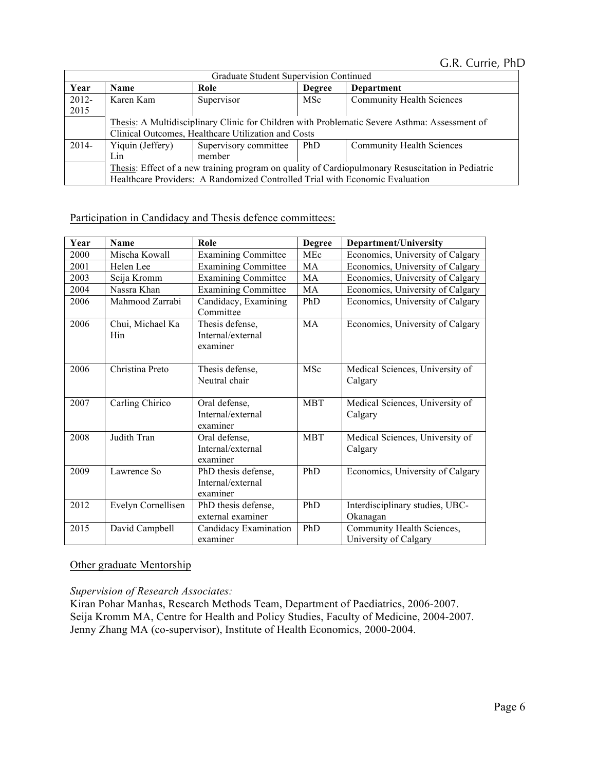G.R. Currie, PhD

|               | Graduate Student Supervision Continued                                                            |                                                                              |               |                                                                                               |
|---------------|---------------------------------------------------------------------------------------------------|------------------------------------------------------------------------------|---------------|-----------------------------------------------------------------------------------------------|
| Year          | <b>Name</b>                                                                                       | Role                                                                         | <b>Degree</b> | Department                                                                                    |
| 2012-<br>2015 | Karen Kam                                                                                         | Supervisor                                                                   | MSc           | <b>Community Health Sciences</b>                                                              |
|               |                                                                                                   |                                                                              |               | Thesis: A Multidisciplinary Clinic for Children with Problematic Severe Asthma: Assessment of |
|               |                                                                                                   | Clinical Outcomes, Healthcare Utilization and Costs                          |               |                                                                                               |
| 2014-         | Yiquin (Jeffery)                                                                                  | Supervisory committee                                                        | PhD           | <b>Community Health Sciences</b>                                                              |
|               | Lin                                                                                               | member                                                                       |               |                                                                                               |
|               | Thesis: Effect of a new training program on quality of Cardiopulmonary Resuscitation in Pediatric |                                                                              |               |                                                                                               |
|               |                                                                                                   | Healthcare Providers: A Randomized Controlled Trial with Economic Evaluation |               |                                                                                               |

# Participation in Candidacy and Thesis defence committees:

| Year | <b>Name</b>             | Role                                                 | <b>Degree</b> | Department/University                               |
|------|-------------------------|------------------------------------------------------|---------------|-----------------------------------------------------|
| 2000 | Mischa Kowall           | <b>Examining Committee</b>                           | MEc           | Economics, University of Calgary                    |
| 2001 | Helen Lee               | <b>Examining Committee</b>                           | MA            | Economics, University of Calgary                    |
| 2003 | Seija Kromm             | <b>Examining Committee</b>                           | <b>MA</b>     | Economics, University of Calgary                    |
| 2004 | Nassra Khan             | <b>Examining Committee</b>                           | <b>MA</b>     | Economics, University of Calgary                    |
| 2006 | Mahmood Zarrabi         | Candidacy, Examining<br>Committee                    | PhD           | Economics, University of Calgary                    |
| 2006 | Chui, Michael Ka<br>Hin | Thesis defense,<br>Internal/external<br>examiner     | <b>MA</b>     | Economics, University of Calgary                    |
| 2006 | Christina Preto         | Thesis defense,<br>Neutral chair                     | <b>MSc</b>    | Medical Sciences, University of<br>Calgary          |
| 2007 | Carling Chirico         | Oral defense,<br>Internal/external<br>examiner       | <b>MBT</b>    | Medical Sciences, University of<br>Calgary          |
| 2008 | Judith Tran             | Oral defense,<br>Internal/external<br>examiner       | <b>MBT</b>    | Medical Sciences, University of<br>Calgary          |
| 2009 | Lawrence So             | PhD thesis defense,<br>Internal/external<br>examiner | PhD           | Economics, University of Calgary                    |
| 2012 | Evelyn Cornellisen      | PhD thesis defense,<br>external examiner             | PhD           | Interdisciplinary studies, UBC-<br>Okanagan         |
| 2015 | David Campbell          | Candidacy Examination<br>examiner                    | PhD           | Community Health Sciences,<br>University of Calgary |

# Other graduate Mentorship

## *Supervision of Research Associates:*

Kiran Pohar Manhas, Research Methods Team, Department of Paediatrics, 2006-2007. Seija Kromm MA, Centre for Health and Policy Studies, Faculty of Medicine, 2004-2007. Jenny Zhang MA (co-supervisor), Institute of Health Economics, 2000-2004.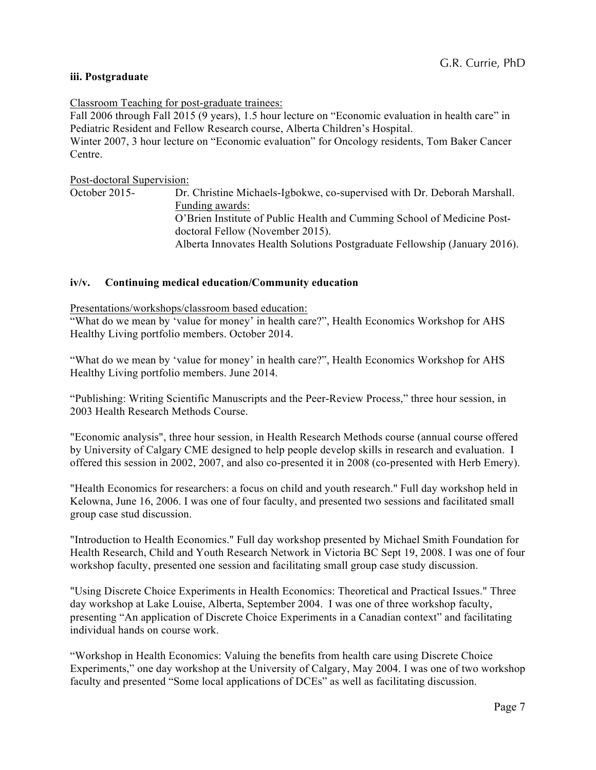## **iii. Postgraduate**

Classroom Teaching for post-graduate trainees:

Fall 2006 through Fall 2015 (9 years), 1.5 hour lecture on "Economic evaluation in health care" in Pediatric Resident and Fellow Research course, Alberta Children's Hospital. Winter 2007, 3 hour lecture on "Economic evaluation" for Oncology residents, Tom Baker Cancer Centre.

Post-doctoral Supervision: October 2015- Dr. Christine Michaels-Igbokwe, co-supervised with Dr. Deborah Marshall. Funding awards: O'Brien Institute of Public Health and Cumming School of Medicine Postdoctoral Fellow (November 2015). Alberta Innovates Health Solutions Postgraduate Fellowship (January 2016).

## **iv/v. Continuing medical education/Community education**

Presentations/workshops/classroom based education:

"What do we mean by 'value for money' in health care?", Health Economics Workshop for AHS Healthy Living portfolio members. October 2014.

"What do we mean by 'value for money' in health care?", Health Economics Workshop for AHS Healthy Living portfolio members. June 2014.

"Publishing: Writing Scientific Manuscripts and the Peer-Review Process," three hour session, in 2003 Health Research Methods Course.

"Economic analysis", three hour session, in Health Research Methods course (annual course offered by University of Calgary CME designed to help people develop skills in research and evaluation. I offered this session in 2002, 2007, and also co-presented it in 2008 (co-presented with Herb Emery).

"Health Economics for researchers: a focus on child and youth research." Full day workshop held in Kelowna, June 16, 2006. I was one of four faculty, and presented two sessions and facilitated small group case stud discussion.

"Introduction to Health Economics." Full day workshop presented by Michael Smith Foundation for Health Research, Child and Youth Research Network in Victoria BC Sept 19, 2008. I was one of four workshop faculty, presented one session and facilitating small group case study discussion.

"Using Discrete Choice Experiments in Health Economics: Theoretical and Practical Issues." Three day workshop at Lake Louise, Alberta, September 2004. I was one of three workshop faculty, presenting "An application of Discrete Choice Experiments in a Canadian context" and facilitating individual hands on course work.

"Workshop in Health Economics: Valuing the benefits from health care using Discrete Choice Experiments," one day workshop at the University of Calgary, May 2004. I was one of two workshop faculty and presented "Some local applications of DCEs" as well as facilitating discussion.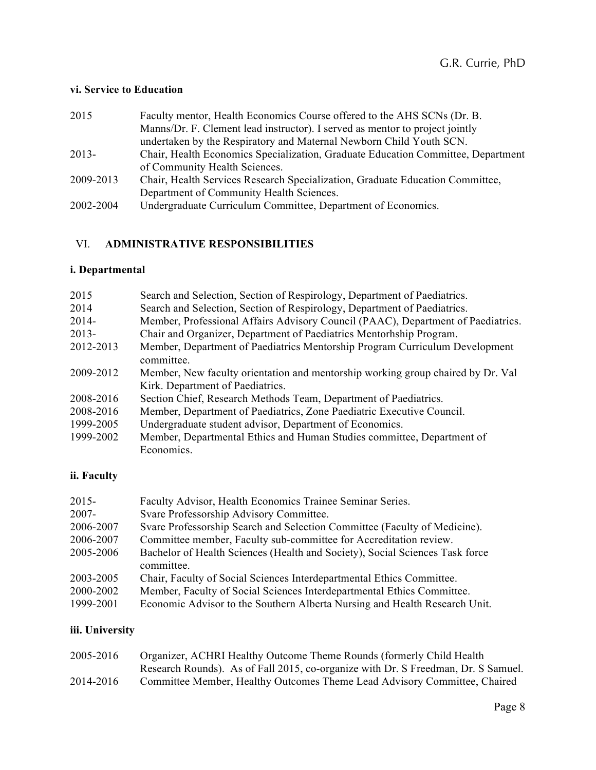# **vi. Service to Education**

| 2015      | Faculty mentor, Health Economics Course offered to the AHS SCNs (Dr. B.          |
|-----------|----------------------------------------------------------------------------------|
|           | Manns/Dr. F. Clement lead instructor). I served as mentor to project jointly     |
|           | undertaken by the Respiratory and Maternal Newborn Child Youth SCN.              |
| $2013-$   | Chair, Health Economics Specialization, Graduate Education Committee, Department |
|           | of Community Health Sciences.                                                    |
| 2009-2013 | Chair, Health Services Research Specialization, Graduate Education Committee,    |
|           | Department of Community Health Sciences.                                         |
| 2002-2004 | Undergraduate Curriculum Committee, Department of Economics.                     |

# VI. **ADMINISTRATIVE RESPONSIBILITIES**

# **i. Departmental**

| 2015      | Search and Selection, Section of Respirology, Department of Paediatrics.         |
|-----------|----------------------------------------------------------------------------------|
| 2014      | Search and Selection, Section of Respirology, Department of Paediatrics.         |
| $2014 -$  | Member, Professional Affairs Advisory Council (PAAC), Department of Paediatrics. |
| $2013 -$  | Chair and Organizer, Department of Paediatrics Mentorhship Program.              |
| 2012-2013 | Member, Department of Paediatrics Mentorship Program Curriculum Development      |
|           | committee.                                                                       |
| 2009-2012 | Member, New faculty orientation and mentorship working group chaired by Dr. Val  |
|           | Kirk. Department of Paediatrics.                                                 |
| 2008-2016 | Section Chief, Research Methods Team, Department of Paediatrics.                 |
| 2008-2016 | Member, Department of Paediatrics, Zone Paediatric Executive Council.            |
| 1999-2005 | Undergraduate student advisor, Department of Economics.                          |
| 1999-2002 | Member, Departmental Ethics and Human Studies committee, Department of           |
|           | Economics.                                                                       |

# **ii. Faculty**

| $2015 -$  | Faculty Advisor, Health Economics Trainee Seminar Series.                                  |
|-----------|--------------------------------------------------------------------------------------------|
| $2007 -$  | Svare Professorship Advisory Committee.                                                    |
| 2006-2007 | Svare Professorship Search and Selection Committee (Faculty of Medicine).                  |
| 2006-2007 | Committee member, Faculty sub-committee for Accreditation review.                          |
| 2005-2006 | Bachelor of Health Sciences (Health and Society), Social Sciences Task force<br>committee. |
| 2003-2005 | Chair, Faculty of Social Sciences Interdepartmental Ethics Committee.                      |
| 2000-2002 | Member, Faculty of Social Sciences Interdepartmental Ethics Committee.                     |
| 1999-2001 | Economic Advisor to the Southern Alberta Nursing and Health Research Unit.                 |

# **iii. University**

| 2005-2016 | Organizer, ACHRI Healthy Outcome Theme Rounds (formerly Child Health)             |
|-----------|-----------------------------------------------------------------------------------|
|           | Research Rounds). As of Fall 2015, co-organize with Dr. S Freedman, Dr. S Samuel. |
| 2014-2016 | Committee Member, Healthy Outcomes Theme Lead Advisory Committee, Chaired         |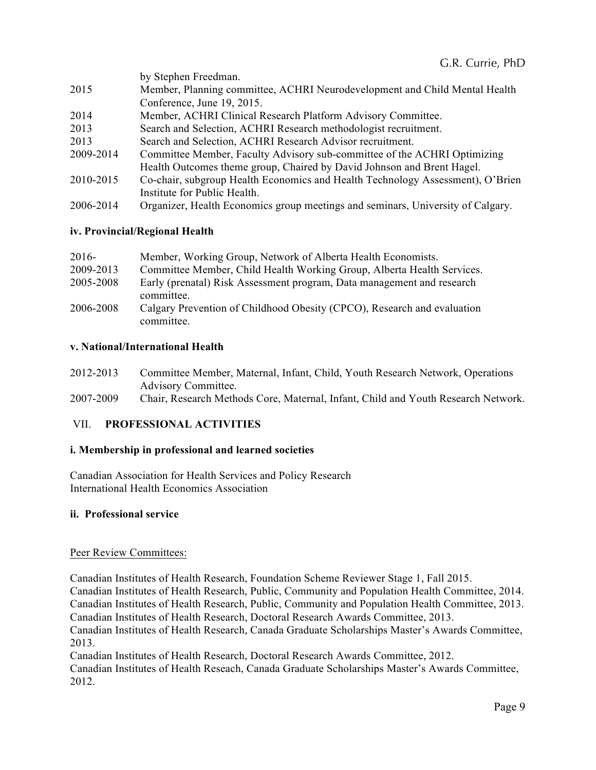|           | by Stephen Freedman.                                                                                                                                                                                                                                                                                                                     |
|-----------|------------------------------------------------------------------------------------------------------------------------------------------------------------------------------------------------------------------------------------------------------------------------------------------------------------------------------------------|
| 2015      | Member, Planning committee, ACHRI Neurodevelopment and Child Mental Health                                                                                                                                                                                                                                                               |
|           | Conference, June 19, 2015.                                                                                                                                                                                                                                                                                                               |
| 2014      | Member, ACHRI Clinical Research Platform Advisory Committee.                                                                                                                                                                                                                                                                             |
| 2013      | Search and Selection, ACHRI Research methodologist recruitment.                                                                                                                                                                                                                                                                          |
| 2013      | Search and Selection, ACHRI Research Advisor recruitment.                                                                                                                                                                                                                                                                                |
| 2009-2014 | Committee Member, Faculty Advisory sub-committee of the ACHRI Optimizing                                                                                                                                                                                                                                                                 |
|           | Health Outcomes theme group, Chaired by David Johnson and Brent Hagel.                                                                                                                                                                                                                                                                   |
| 2010-2015 | Co-chair, subgroup Health Economics and Health Technology Assessment), O'Brien                                                                                                                                                                                                                                                           |
|           | Institute for Public Health.                                                                                                                                                                                                                                                                                                             |
|           | $\mathbf{r}$ and $\mathbf{r}$ and $\mathbf{r}$ and $\mathbf{r}$ and $\mathbf{r}$ and $\mathbf{r}$ and $\mathbf{r}$ and $\mathbf{r}$ and $\mathbf{r}$ and $\mathbf{r}$ and $\mathbf{r}$ and $\mathbf{r}$ and $\mathbf{r}$ and $\mathbf{r}$ and $\mathbf{r}$ and $\mathbf{r}$ and $\mathbf{r}$ and<br>$\sim$ $\blacksquare$ $\blacksquare$ |

2006-2014 Organizer, Health Economics group meetings and seminars, University of Calgary.

## **iv. Provincial/Regional Health**

| $2016-$   | Member, Working Group, Network of Alberta Health Economists.                          |
|-----------|---------------------------------------------------------------------------------------|
| 2009-2013 | Committee Member, Child Health Working Group, Alberta Health Services.                |
| 2005-2008 | Early (prenatal) Risk Assessment program, Data management and research<br>committee.  |
| 2006-2008 | Calgary Prevention of Childhood Obesity (CPCO), Research and evaluation<br>committee. |

## **v. National/International Health**

| 2012-2013 | Committee Member, Maternal, Infant, Child, Youth Research Network, Operations     |
|-----------|-----------------------------------------------------------------------------------|
|           | <b>Advisory Committee.</b>                                                        |
| 2007-2009 | Chair, Research Methods Core, Maternal, Infant, Child and Youth Research Network. |

## VII. **PROFESSIONAL ACTIVITIES**

### **i. Membership in professional and learned societies**

Canadian Association for Health Services and Policy Research International Health Economics Association

### **ii. Professional service**

### Peer Review Committees:

Canadian Institutes of Health Research, Foundation Scheme Reviewer Stage 1, Fall 2015.

Canadian Institutes of Health Research, Public, Community and Population Health Committee, 2014.

Canadian Institutes of Health Research, Public, Community and Population Health Committee, 2013.

Canadian Institutes of Health Research, Doctoral Research Awards Committee, 2013.

Canadian Institutes of Health Research, Canada Graduate Scholarships Master's Awards Committee, 2013.

Canadian Institutes of Health Research, Doctoral Research Awards Committee, 2012. Canadian Institutes of Health Reseach, Canada Graduate Scholarships Master's Awards Committee, 2012.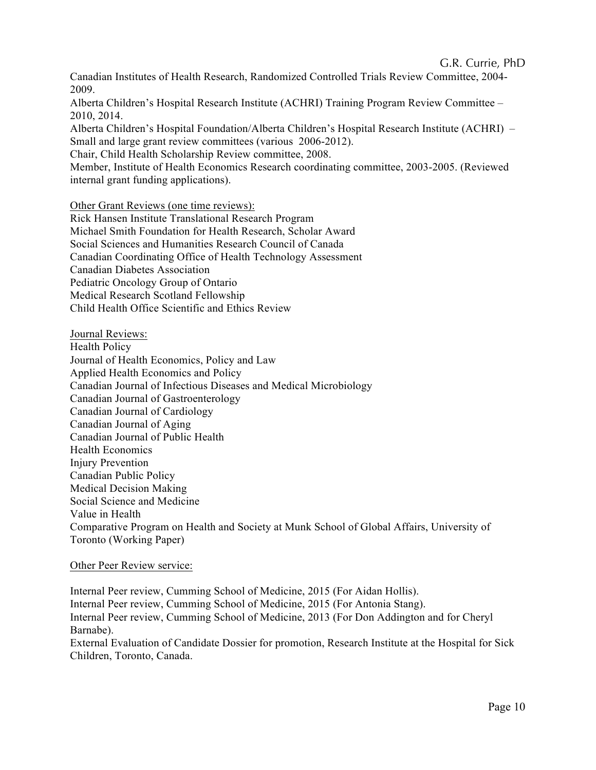Canadian Institutes of Health Research, Randomized Controlled Trials Review Committee, 2004- 2009.

Alberta Children's Hospital Research Institute (ACHRI) Training Program Review Committee – 2010, 2014.

Alberta Children's Hospital Foundation/Alberta Children's Hospital Research Institute (ACHRI) – Small and large grant review committees (various 2006-2012).

Chair, Child Health Scholarship Review committee, 2008.

Member, Institute of Health Economics Research coordinating committee, 2003-2005. (Reviewed internal grant funding applications).

Other Grant Reviews (one time reviews):

Rick Hansen Institute Translational Research Program Michael Smith Foundation for Health Research, Scholar Award Social Sciences and Humanities Research Council of Canada Canadian Coordinating Office of Health Technology Assessment Canadian Diabetes Association Pediatric Oncology Group of Ontario Medical Research Scotland Fellowship Child Health Office Scientific and Ethics Review

Journal Reviews: Health Policy Journal of Health Economics, Policy and Law Applied Health Economics and Policy Canadian Journal of Infectious Diseases and Medical Microbiology Canadian Journal of Gastroenterology Canadian Journal of Cardiology Canadian Journal of Aging Canadian Journal of Public Health Health Economics Injury Prevention Canadian Public Policy Medical Decision Making Social Science and Medicine Value in Health Comparative Program on Health and Society at Munk School of Global Affairs, University of Toronto (Working Paper)

## Other Peer Review service:

Internal Peer review, Cumming School of Medicine, 2015 (For Aidan Hollis). Internal Peer review, Cumming School of Medicine, 2015 (For Antonia Stang). Internal Peer review, Cumming School of Medicine, 2013 (For Don Addington and for Cheryl Barnabe). External Evaluation of Candidate Dossier for promotion, Research Institute at the Hospital for Sick Children, Toronto, Canada.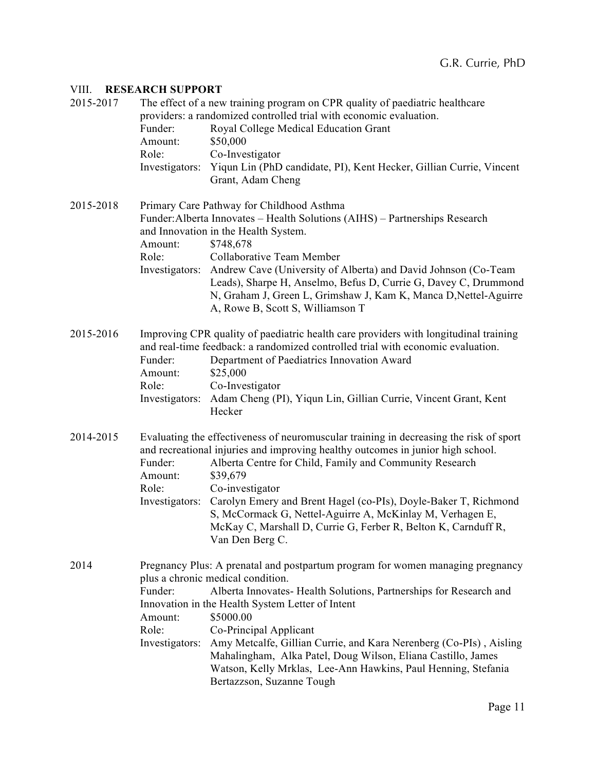## VIII. **RESEARCH SUPPORT**

| 2015-2017 | Funder:<br>Amount:<br>Role:<br>Investigators:                                                                                                                                                                                                                                                                                                                                                                                                                                                                                                                             | The effect of a new training program on CPR quality of paediatric healthcare<br>providers: a randomized controlled trial with economic evaluation.<br>Royal College Medical Education Grant<br>\$50,000<br>Co-Investigator<br>Yiqun Lin (PhD candidate, PI), Kent Hecker, Gillian Currie, Vincent<br>Grant, Adam Cheng                                                                                                                                                                                  |
|-----------|---------------------------------------------------------------------------------------------------------------------------------------------------------------------------------------------------------------------------------------------------------------------------------------------------------------------------------------------------------------------------------------------------------------------------------------------------------------------------------------------------------------------------------------------------------------------------|---------------------------------------------------------------------------------------------------------------------------------------------------------------------------------------------------------------------------------------------------------------------------------------------------------------------------------------------------------------------------------------------------------------------------------------------------------------------------------------------------------|
| 2015-2018 | Amount:<br>Role:                                                                                                                                                                                                                                                                                                                                                                                                                                                                                                                                                          | Primary Care Pathway for Childhood Asthma<br>Funder: Alberta Innovates - Health Solutions (AIHS) - Partnerships Research<br>and Innovation in the Health System.<br>\$748,678<br>Collaborative Team Member<br>Investigators: Andrew Cave (University of Alberta) and David Johnson (Co-Team<br>Leads), Sharpe H, Anselmo, Befus D, Currie G, Davey C, Drummond<br>N, Graham J, Green L, Grimshaw J, Kam K, Manca D, Nettel-Aguirre<br>A, Rowe B, Scott S, Williamson T                                  |
| 2015-2016 | Funder:<br>Amount:<br>Role:<br>Investigators:                                                                                                                                                                                                                                                                                                                                                                                                                                                                                                                             | Improving CPR quality of paediatric health care providers with longitudinal training<br>and real-time feedback: a randomized controlled trial with economic evaluation.<br>Department of Paediatrics Innovation Award<br>\$25,000<br>Co-Investigator<br>Adam Cheng (PI), Yiqun Lin, Gillian Currie, Vincent Grant, Kent<br>Hecker                                                                                                                                                                       |
| 2014-2015 | Funder:<br>Amount:<br>Role:                                                                                                                                                                                                                                                                                                                                                                                                                                                                                                                                               | Evaluating the effectiveness of neuromuscular training in decreasing the risk of sport<br>and recreational injuries and improving healthy outcomes in junior high school.<br>Alberta Centre for Child, Family and Community Research<br>\$39,679<br>Co-investigator<br>Investigators: Carolyn Emery and Brent Hagel (co-PIs), Doyle-Baker T, Richmond<br>S, McCormack G, Nettel-Aguirre A, McKinlay M, Verhagen E,<br>McKay C, Marshall D, Currie G, Ferber R, Belton K, Carnduff R,<br>Van Den Berg C. |
| 2014      | Pregnancy Plus: A prenatal and postpartum program for women managing pregnancy<br>plus a chronic medical condition.<br>Alberta Innovates- Health Solutions, Partnerships for Research and<br>Funder:<br>Innovation in the Health System Letter of Intent<br>\$5000.00<br>Amount:<br>Role:<br>Co-Principal Applicant<br>Amy Metcalfe, Gillian Currie, and Kara Nerenberg (Co-PIs), Aisling<br>Investigators:<br>Mahalingham, Alka Patel, Doug Wilson, Eliana Castillo, James<br>Watson, Kelly Mrklas, Lee-Ann Hawkins, Paul Henning, Stefania<br>Bertazzson, Suzanne Tough |                                                                                                                                                                                                                                                                                                                                                                                                                                                                                                         |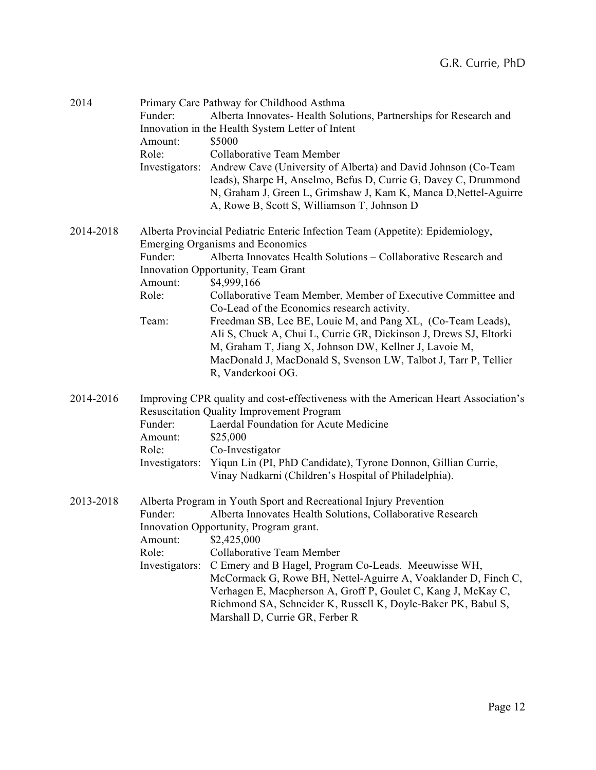| 2014      | Funder:<br>Amount:<br>Role:<br>Investigators: | Primary Care Pathway for Childhood Asthma<br>Alberta Innovates- Health Solutions, Partnerships for Research and<br>Innovation in the Health System Letter of Intent<br>\$5000<br>Collaborative Team Member<br>Andrew Cave (University of Alberta) and David Johnson (Co-Team<br>leads), Sharpe H, Anselmo, Befus D, Currie G, Davey C, Drummond<br>N, Graham J, Green L, Grimshaw J, Kam K, Manca D, Nettel-Aguirre<br>A, Rowe B, Scott S, Williamson T, Johnson D                                                                                                                                                                                    |
|-----------|-----------------------------------------------|-------------------------------------------------------------------------------------------------------------------------------------------------------------------------------------------------------------------------------------------------------------------------------------------------------------------------------------------------------------------------------------------------------------------------------------------------------------------------------------------------------------------------------------------------------------------------------------------------------------------------------------------------------|
| 2014-2018 | Funder:<br>Amount:<br>Role:<br>Team:          | Alberta Provincial Pediatric Enteric Infection Team (Appetite): Epidemiology,<br><b>Emerging Organisms and Economics</b><br>Alberta Innovates Health Solutions – Collaborative Research and<br>Innovation Opportunity, Team Grant<br>\$4,999,166<br>Collaborative Team Member, Member of Executive Committee and<br>Co-Lead of the Economics research activity.<br>Freedman SB, Lee BE, Louie M, and Pang XL, (Co-Team Leads),<br>Ali S, Chuck A, Chui L, Currie GR, Dickinson J, Drews SJ, Eltorki<br>M, Graham T, Jiang X, Johnson DW, Kellner J, Lavoie M,<br>MacDonald J, MacDonald S, Svenson LW, Talbot J, Tarr P, Tellier<br>R, Vanderkooi OG. |
| 2014-2016 | Funder:<br>Amount:<br>Role:<br>Investigators: | Improving CPR quality and cost-effectiveness with the American Heart Association's<br><b>Resuscitation Quality Improvement Program</b><br>Laerdal Foundation for Acute Medicine<br>\$25,000<br>Co-Investigator<br>Yiqun Lin (PI, PhD Candidate), Tyrone Donnon, Gillian Currie,<br>Vinay Nadkarni (Children's Hospital of Philadelphia).                                                                                                                                                                                                                                                                                                              |
| 2013-2018 | Funder:<br>Amount:<br>Role:<br>Investigators: | Alberta Program in Youth Sport and Recreational Injury Prevention<br>Alberta Innovates Health Solutions, Collaborative Research<br>Innovation Opportunity, Program grant.<br>\$2,425,000<br>Collaborative Team Member<br>C Emery and B Hagel, Program Co-Leads. Meeuwisse WH,<br>McCormack G, Rowe BH, Nettel-Aguirre A, Voaklander D, Finch C,<br>Verhagen E, Macpherson A, Groff P, Goulet C, Kang J, McKay C,<br>Richmond SA, Schneider K, Russell K, Doyle-Baker PK, Babul S,<br>Marshall D, Currie GR, Ferber R                                                                                                                                  |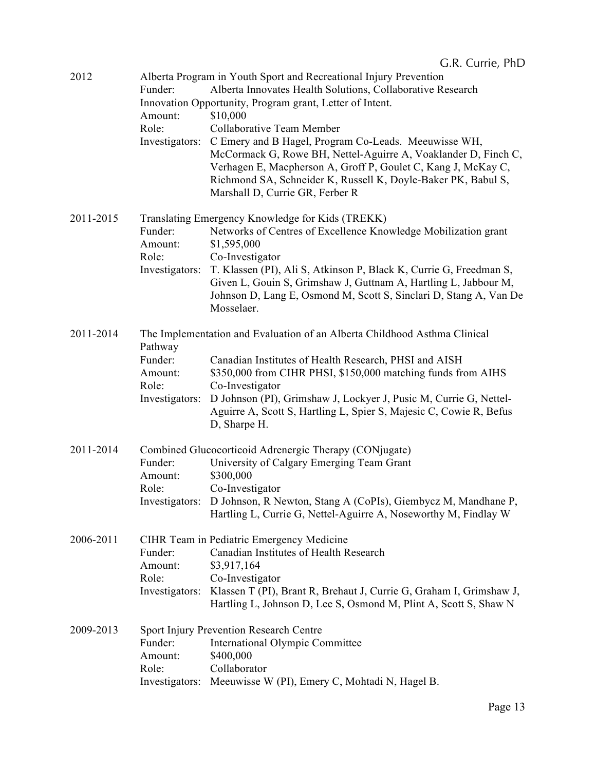| 2012      | Funder:<br>Amount:<br>Role:<br>Investigators:            | Alberta Program in Youth Sport and Recreational Injury Prevention<br>Alberta Innovates Health Solutions, Collaborative Research<br>Innovation Opportunity, Program grant, Letter of Intent.<br>\$10,000<br>Collaborative Team Member<br>C Emery and B Hagel, Program Co-Leads. Meeuwisse WH,<br>McCormack G, Rowe BH, Nettel-Aguirre A, Voaklander D, Finch C,<br>Verhagen E, Macpherson A, Groff P, Goulet C, Kang J, McKay C,<br>Richmond SA, Schneider K, Russell K, Doyle-Baker PK, Babul S,<br>Marshall D, Currie GR, Ferber R |
|-----------|----------------------------------------------------------|-------------------------------------------------------------------------------------------------------------------------------------------------------------------------------------------------------------------------------------------------------------------------------------------------------------------------------------------------------------------------------------------------------------------------------------------------------------------------------------------------------------------------------------|
| 2011-2015 | Funder:<br>Amount:<br>Role:<br>Investigators:            | Translating Emergency Knowledge for Kids (TREKK)<br>Networks of Centres of Excellence Knowledge Mobilization grant<br>\$1,595,000<br>Co-Investigator<br>T. Klassen (PI), Ali S, Atkinson P, Black K, Currie G, Freedman S,<br>Given L, Gouin S, Grimshaw J, Guttnam A, Hartling L, Jabbour M,<br>Johnson D, Lang E, Osmond M, Scott S, Sinclari D, Stang A, Van De<br>Mosselaer.                                                                                                                                                    |
| 2011-2014 | Pathway<br>Funder:<br>Amount:<br>Role:<br>Investigators: | The Implementation and Evaluation of an Alberta Childhood Asthma Clinical<br>Canadian Institutes of Health Research, PHSI and AISH<br>\$350,000 from CIHR PHSI, \$150,000 matching funds from AIHS<br>Co-Investigator<br>D Johnson (PI), Grimshaw J, Lockyer J, Pusic M, Currie G, Nettel-<br>Aguirre A, Scott S, Hartling L, Spier S, Majesic C, Cowie R, Befus<br>D, Sharpe H.                                                                                                                                                    |
| 2011-2014 | Funder:<br>Amount:<br>Role:<br>Investigators:            | Combined Glucocorticoid Adrenergic Therapy (CONjugate)<br>University of Calgary Emerging Team Grant<br>\$300,000<br>Co-Investigator<br>D Johnson, R Newton, Stang A (CoPIs), Giembycz M, Mandhane P,<br>Hartling L, Currie G, Nettel-Aguirre A, Noseworthy M, Findlay W                                                                                                                                                                                                                                                             |
| 2006-2011 | Funder:<br>Amount:<br>Role:<br>Investigators:            | CIHR Team in Pediatric Emergency Medicine<br>Canadian Institutes of Health Research<br>\$3,917,164<br>Co-Investigator<br>Klassen T (PI), Brant R, Brehaut J, Currie G, Graham I, Grimshaw J,<br>Hartling L, Johnson D, Lee S, Osmond M, Plint A, Scott S, Shaw N                                                                                                                                                                                                                                                                    |
| 2009-2013 | Funder:<br>Amount:<br>Role:                              | Sport Injury Prevention Research Centre<br>International Olympic Committee<br>\$400,000<br>Collaborator<br>Investigators: Meeuwisse W (PI), Emery C, Mohtadi N, Hagel B.                                                                                                                                                                                                                                                                                                                                                            |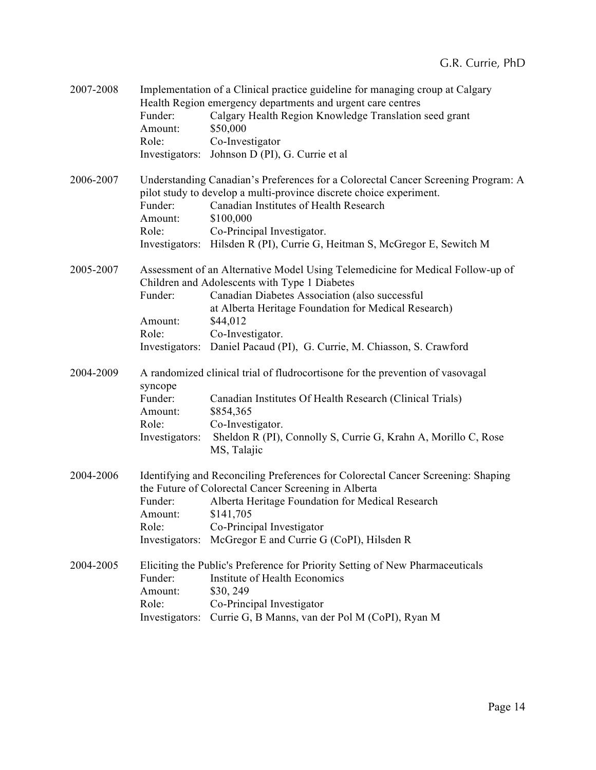| 2007-2008 | Funder:<br>Amount:<br>Role:                              | Implementation of a Clinical practice guideline for managing croup at Calgary<br>Health Region emergency departments and urgent care centres<br>Calgary Health Region Knowledge Translation seed grant<br>\$50,000<br>Co-Investigator<br>Investigators: Johnson D (PI), G. Currie et al.                                                            |
|-----------|----------------------------------------------------------|-----------------------------------------------------------------------------------------------------------------------------------------------------------------------------------------------------------------------------------------------------------------------------------------------------------------------------------------------------|
| 2006-2007 | Funder:<br>Amount:<br>Role:                              | Understanding Canadian's Preferences for a Colorectal Cancer Screening Program: A<br>pilot study to develop a multi-province discrete choice experiment.<br>Canadian Institutes of Health Research<br>\$100,000<br>Co-Principal Investigator.<br>Investigators: Hilsden R (PI), Currie G, Heitman S, McGregor E, Sewitch M                          |
| 2005-2007 | Funder:<br>Amount:<br>Role:                              | Assessment of an Alternative Model Using Telemedicine for Medical Follow-up of<br>Children and Adolescents with Type 1 Diabetes<br>Canadian Diabetes Association (also successful<br>at Alberta Heritage Foundation for Medical Research)<br>\$44,012<br>Co-Investigator.<br>Investigators: Daniel Pacaud (PI), G. Currie, M. Chiasson, S. Crawford |
| 2004-2009 | syncope<br>Funder:<br>Amount:<br>Role:<br>Investigators: | A randomized clinical trial of fludrocortisone for the prevention of vasovagal<br>Canadian Institutes Of Health Research (Clinical Trials)<br>\$854,365<br>Co-Investigator.<br>Sheldon R (PI), Connolly S, Currie G, Krahn A, Morillo C, Rose<br>MS, Talajic                                                                                        |
| 2004-2006 | Funder:<br>Amount:<br>Role:                              | Identifying and Reconciling Preferences for Colorectal Cancer Screening: Shaping<br>the Future of Colorectal Cancer Screening in Alberta<br>Alberta Heritage Foundation for Medical Research<br>\$141,705<br>Co-Principal Investigator<br>Investigators: McGregor E and Currie G (CoPI), Hilsden R                                                  |
| 2004-2005 | Funder:<br>Amount:<br>Role:                              | Eliciting the Public's Preference for Priority Setting of New Pharmaceuticals<br>Institute of Health Economics<br>\$30, 249<br>Co-Principal Investigator<br>Investigators: Currie G, B Manns, van der Pol M (CoPI), Ryan M                                                                                                                          |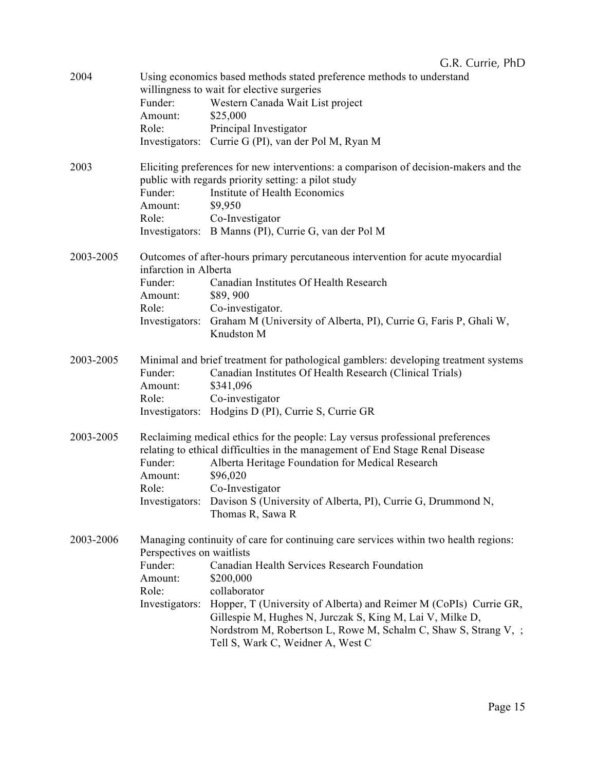| 2004      | Funder:<br>Amount:<br>Role:                                                                                                                                                                                                                                                                                                                                                                                                                                                           | Using economics based methods stated preference methods to understand<br>willingness to wait for elective surgeries<br>Western Canada Wait List project<br>\$25,000<br>Principal Investigator<br>Investigators: Currie G (PI), van der Pol M, Ryan M                                                                                                 |
|-----------|---------------------------------------------------------------------------------------------------------------------------------------------------------------------------------------------------------------------------------------------------------------------------------------------------------------------------------------------------------------------------------------------------------------------------------------------------------------------------------------|------------------------------------------------------------------------------------------------------------------------------------------------------------------------------------------------------------------------------------------------------------------------------------------------------------------------------------------------------|
| 2003      | Funder:<br>Amount:<br>Role:                                                                                                                                                                                                                                                                                                                                                                                                                                                           | Eliciting preferences for new interventions: a comparison of decision-makers and the<br>public with regards priority setting: a pilot study<br>Institute of Health Economics<br>\$9,950<br>Co-Investigator<br>Investigators: B Manns (PI), Currie G, van der Pol M                                                                                   |
| 2003-2005 | infarction in Alberta<br>Funder:<br>Amount:<br>Role:                                                                                                                                                                                                                                                                                                                                                                                                                                  | Outcomes of after-hours primary percutaneous intervention for acute myocardial<br>Canadian Institutes Of Health Research<br>\$89,900<br>Co-investigator.<br>Investigators: Graham M (University of Alberta, PI), Currie G, Faris P, Ghali W,<br>Knudston M                                                                                           |
| 2003-2005 | Funder:<br>Amount:<br>Role:                                                                                                                                                                                                                                                                                                                                                                                                                                                           | Minimal and brief treatment for pathological gamblers: developing treatment systems<br>Canadian Institutes Of Health Research (Clinical Trials)<br>\$341,096<br>Co-investigator<br>Investigators: Hodgins D (PI), Currie S, Currie GR                                                                                                                |
| 2003-2005 | Funder:<br>Amount:<br>Role:                                                                                                                                                                                                                                                                                                                                                                                                                                                           | Reclaiming medical ethics for the people: Lay versus professional preferences<br>relating to ethical difficulties in the management of End Stage Renal Disease<br>Alberta Heritage Foundation for Medical Research<br>\$96,020<br>Co-Investigator<br>Investigators: Davison S (University of Alberta, PI), Currie G, Drummond N,<br>Thomas R, Sawa R |
| 2003-2006 | Managing continuity of care for continuing care services within two health regions:<br>Perspectives on waitlists<br>Canadian Health Services Research Foundation<br>Funder:<br>Amount:<br>\$200,000<br>collaborator<br>Role:<br>Investigators: Hopper, T (University of Alberta) and Reimer M (CoPIs) Currie GR,<br>Gillespie M, Hughes N, Jurczak S, King M, Lai V, Milke D,<br>Nordstrom M, Robertson L, Rowe M, Schalm C, Shaw S, Strang V, ;<br>Tell S, Wark C, Weidner A, West C |                                                                                                                                                                                                                                                                                                                                                      |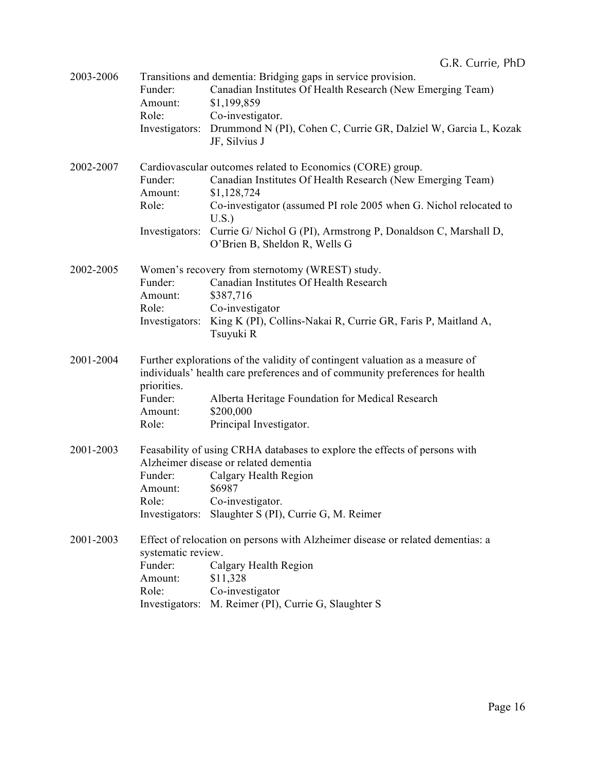| 2003-2006 | Funder:<br>Amount:<br>Role:                       | Transitions and dementia: Bridging gaps in service provision.<br>Canadian Institutes Of Health Research (New Emerging Team)<br>\$1,199,859<br>Co-investigator.<br>Investigators: Drummond N (PI), Cohen C, Currie GR, Dalziel W, Garcia L, Kozak<br>JF, Silvius J                                                                     |
|-----------|---------------------------------------------------|---------------------------------------------------------------------------------------------------------------------------------------------------------------------------------------------------------------------------------------------------------------------------------------------------------------------------------------|
| 2002-2007 | Funder:<br>Amount:<br>Role:                       | Cardiovascular outcomes related to Economics (CORE) group.<br>Canadian Institutes Of Health Research (New Emerging Team)<br>\$1,128,724<br>Co-investigator (assumed PI role 2005 when G. Nichol relocated to<br>U.S.<br>Investigators: Currie G/Nichol G (PI), Armstrong P, Donaldson C, Marshall D,<br>O'Brien B, Sheldon R, Wells G |
| 2002-2005 | Funder:<br>Amount:<br>Role:<br>Investigators:     | Women's recovery from sternotomy (WREST) study.<br>Canadian Institutes Of Health Research<br>\$387,716<br>Co-investigator<br>King K (PI), Collins-Nakai R, Currie GR, Faris P, Maitland A,<br>Tsuyuki R                                                                                                                               |
| 2001-2004 | priorities.<br>Funder:<br>Amount:<br>Role:        | Further explorations of the validity of contingent valuation as a measure of<br>individuals' health care preferences and of community preferences for health<br>Alberta Heritage Foundation for Medical Research<br>\$200,000<br>Principal Investigator.                                                                              |
| 2001-2003 | Funder:<br>Amount:<br>Role:                       | Feasability of using CRHA databases to explore the effects of persons with<br>Alzheimer disease or related dementia<br>Calgary Health Region<br>\$6987<br>Co-investigator.<br>Investigators: Slaughter S (PI), Currie G, M. Reimer                                                                                                    |
| 2001-2003 | systematic review.<br>Funder:<br>Amount:<br>Role: | Effect of relocation on persons with Alzheimer disease or related dementias: a<br>Calgary Health Region<br>\$11,328<br>Co-investigator<br>Investigators: M. Reimer (PI), Currie G, Slaughter S                                                                                                                                        |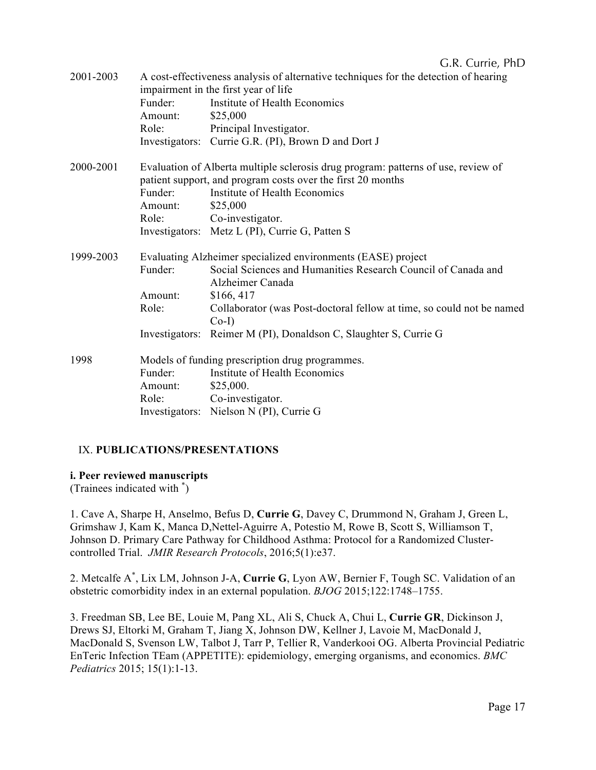| 2001-2003 |                                                              | A cost-effectiveness analysis of alternative techniques for the detection of hearing |  |  |
|-----------|--------------------------------------------------------------|--------------------------------------------------------------------------------------|--|--|
|           |                                                              | impairment in the first year of life                                                 |  |  |
|           | Funder:                                                      | Institute of Health Economics                                                        |  |  |
|           | Amount:                                                      | \$25,000                                                                             |  |  |
|           | Role:                                                        | Principal Investigator.                                                              |  |  |
|           |                                                              | Investigators: Currie G.R. (PI), Brown D and Dort J                                  |  |  |
| 2000-2001 |                                                              | Evaluation of Alberta multiple sclerosis drug program: patterns of use, review of    |  |  |
|           |                                                              | patient support, and program costs over the first 20 months                          |  |  |
|           | Funder:                                                      | Institute of Health Economics                                                        |  |  |
|           | Amount:                                                      | \$25,000                                                                             |  |  |
|           | Role:                                                        | Co-investigator.                                                                     |  |  |
|           |                                                              | Investigators: Metz L (PI), Currie G, Patten S                                       |  |  |
| 1999-2003 | Evaluating Alzheimer specialized environments (EASE) project |                                                                                      |  |  |
|           | Funder:                                                      | Social Sciences and Humanities Research Council of Canada and<br>Alzheimer Canada    |  |  |
|           | Amount:                                                      | \$166,417                                                                            |  |  |
|           | Role:                                                        | Collaborator (was Post-doctoral fellow at time, so could not be named                |  |  |
|           |                                                              | $Co-I$                                                                               |  |  |
|           |                                                              | Investigators: Reimer M (PI), Donaldson C, Slaughter S, Currie G                     |  |  |
| 1998      | Models of funding prescription drug programmes.              |                                                                                      |  |  |
|           | Funder:                                                      | Institute of Health Economics                                                        |  |  |
|           | Amount:                                                      | \$25,000.                                                                            |  |  |
|           | Role:                                                        | Co-investigator.                                                                     |  |  |
|           |                                                              | Investigators: Nielson N (PI), Currie G                                              |  |  |

## IX. **PUBLICATIONS/PRESENTATIONS**

### **i. Peer reviewed manuscripts**

(Trainees indicated with \* )

1. Cave A, Sharpe H, Anselmo, Befus D, **Currie G**, Davey C, Drummond N, Graham J, Green L, Grimshaw J, Kam K, Manca D,Nettel-Aguirre A, Potestio M, Rowe B, Scott S, Williamson T, Johnson D. Primary Care Pathway for Childhood Asthma: Protocol for a Randomized Clustercontrolled Trial. *JMIR Research Protocols*, 2016;5(1):e37.

2. Metcalfe A\* , Lix LM, Johnson J-A, **Currie G**, Lyon AW, Bernier F, Tough SC. Validation of an obstetric comorbidity index in an external population. *BJOG* 2015;122:1748–1755.

3. Freedman SB, Lee BE, Louie M, Pang XL, Ali S, Chuck A, Chui L, **Currie GR**, Dickinson J, Drews SJ, Eltorki M, Graham T, Jiang X, Johnson DW, Kellner J, Lavoie M, MacDonald J, MacDonald S, Svenson LW, Talbot J, Tarr P, Tellier R, Vanderkooi OG. Alberta Provincial Pediatric EnTeric Infection TEam (APPETITE): epidemiology, emerging organisms, and economics. *BMC Pediatrics* 2015; 15(1):1-13.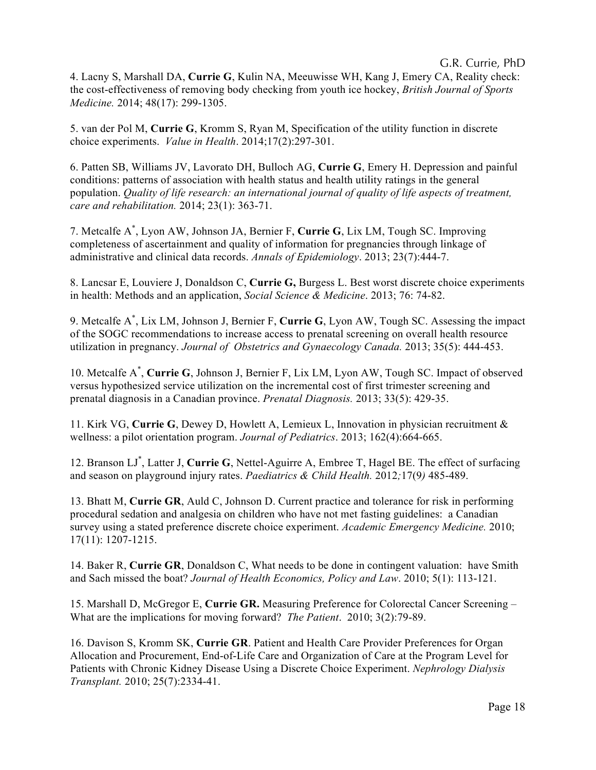4. Lacny S, Marshall DA, **Currie G**, Kulin NA, Meeuwisse WH, Kang J, Emery CA, Reality check: the cost-effectiveness of removing body checking from youth ice hockey, *British Journal of Sports Medicine.* 2014; 48(17): 299-1305.

5. van der Pol M, **Currie G**, Kromm S, Ryan M, Specification of the utility function in discrete choice experiments. *Value in Health*. 2014;17(2):297-301.

6. Patten SB, Williams JV, Lavorato DH, Bulloch AG, **Currie G**, Emery H. Depression and painful conditions: patterns of association with health status and health utility ratings in the general population. *Quality of life research: an international journal of quality of life aspects of treatment, care and rehabilitation.* 2014; 23(1): 363-71.

7. Metcalfe A\* , Lyon AW, Johnson JA, Bernier F, **Currie G**, Lix LM, Tough SC. Improving completeness of ascertainment and quality of information for pregnancies through linkage of administrative and clinical data records. *Annals of Epidemiology*. 2013; 23(7):444-7.

8. Lancsar E, Louviere J, Donaldson C, **Currie G,** Burgess L. Best worst discrete choice experiments in health: Methods and an application, *Social Science & Medicine*. 2013; 76: 74-82.

9. Metcalfe A\* , Lix LM, Johnson J, Bernier F, **Currie G**, Lyon AW, Tough SC. Assessing the impact of the SOGC recommendations to increase access to prenatal screening on overall health resource utilization in pregnancy. *Journal of Obstetrics and Gynaecology Canada.* 2013; 35(5): 444-453.

10. Metcalfe A\* , **Currie G**, Johnson J, Bernier F, Lix LM, Lyon AW, Tough SC. Impact of observed versus hypothesized service utilization on the incremental cost of first trimester screening and prenatal diagnosis in a Canadian province. *Prenatal Diagnosis.* 2013; 33(5): 429-35.

11. Kirk VG, **Currie G**, Dewey D, Howlett A, Lemieux L, Innovation in physician recruitment & wellness: a pilot orientation program. *Journal of Pediatrics*. 2013; 162(4):664-665.

12. Branson LJ\* , Latter J, **Currie G**, Nettel-Aguirre A, Embree T, Hagel BE. The effect of surfacing and season on playground injury rates. *Paediatrics & Child Health.* 2012*;*17(9*)* 485-489.

13. Bhatt M, **Currie GR**, Auld C, Johnson D. Current practice and tolerance for risk in performing procedural sedation and analgesia on children who have not met fasting guidelines: a Canadian survey using a stated preference discrete choice experiment. *Academic Emergency Medicine.* 2010; 17(11): 1207-1215.

14. Baker R, **Currie GR**, Donaldson C, What needs to be done in contingent valuation: have Smith and Sach missed the boat? *Journal of Health Economics, Policy and Law*. 2010; 5(1): 113-121.

15. Marshall D, McGregor E, **Currie GR.** Measuring Preference for Colorectal Cancer Screening – What are the implications for moving forward? *The Patient*. 2010; 3(2):79-89.

16. Davison S, Kromm SK, **Currie GR**. Patient and Health Care Provider Preferences for Organ Allocation and Procurement, End-of-Life Care and Organization of Care at the Program Level for Patients with Chronic Kidney Disease Using a Discrete Choice Experiment. *Nephrology Dialysis Transplant.* 2010; 25(7):2334-41.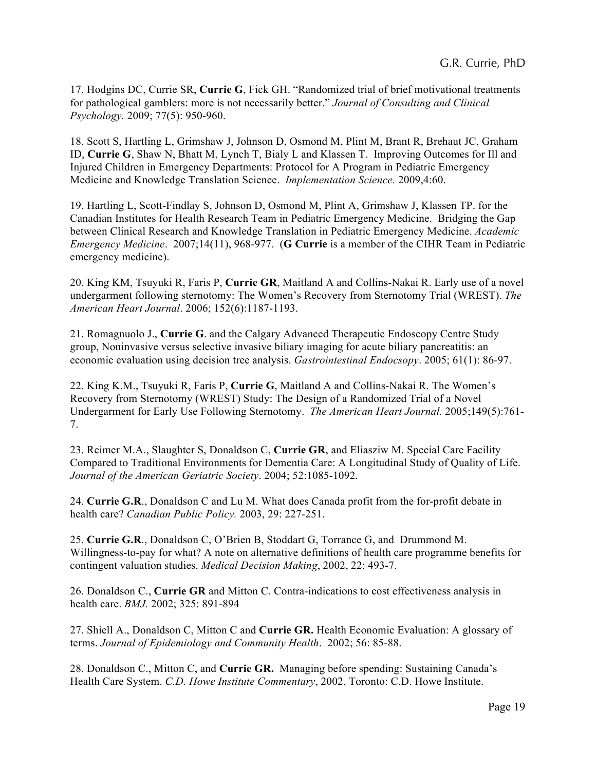17. Hodgins DC, Currie SR, **Currie G**, Fick GH. "Randomized trial of brief motivational treatments for pathological gamblers: more is not necessarily better." *Journal of Consulting and Clinical Psychology.* 2009; 77(5): 950-960.

18. Scott S, Hartling L, Grimshaw J, Johnson D, Osmond M, Plint M, Brant R, Brehaut JC, Graham ID, **Currie G**, Shaw N, Bhatt M, Lynch T, Bialy L and Klassen T. Improving Outcomes for Ill and Injured Children in Emergency Departments: Protocol for A Program in Pediatric Emergency Medicine and Knowledge Translation Science. *Implementation Science.* 2009,4:60.

19. Hartling L, Scott-Findlay S, Johnson D, Osmond M, Plint A, Grimshaw J, Klassen TP. for the Canadian Institutes for Health Research Team in Pediatric Emergency Medicine. Bridging the Gap between Clinical Research and Knowledge Translation in Pediatric Emergency Medicine. *Academic Emergency Medicine*. 2007;14(11), 968-977. (**G Currie** is a member of the CIHR Team in Pediatric emergency medicine).

20. King KM, Tsuyuki R, Faris P, **Currie GR**, Maitland A and Collins-Nakai R. Early use of a novel undergarment following sternotomy: The Women's Recovery from Sternotomy Trial (WREST). *The American Heart Journal*. 2006; 152(6):1187-1193.

21. Romagnuolo J., **Currie G**. and the Calgary Advanced Therapeutic Endoscopy Centre Study group, Noninvasive versus selective invasive biliary imaging for acute biliary pancreatitis: an economic evaluation using decision tree analysis. *Gastrointestinal Endocsopy*. 2005; 61(1): 86-97.

22. King K.M., Tsuyuki R, Faris P, **Currie G**, Maitland A and Collins-Nakai R. The Women's Recovery from Sternotomy (WREST) Study: The Design of a Randomized Trial of a Novel Undergarment for Early Use Following Sternotomy. *The American Heart Journal.* 2005;149(5):761- 7.

23. Reimer M.A., Slaughter S, Donaldson C, **Currie GR**, and Eliasziw M. Special Care Facility Compared to Traditional Environments for Dementia Care: A Longitudinal Study of Quality of Life. *Journal of the American Geriatric Society*. 2004; 52:1085-1092.

24. **Currie G.R**., Donaldson C and Lu M. What does Canada profit from the for-profit debate in health care? *Canadian Public Policy.* 2003, 29: 227-251.

25. **Currie G.R**., Donaldson C, O'Brien B, Stoddart G, Torrance G, and Drummond M. Willingness-to-pay for what? A note on alternative definitions of health care programme benefits for contingent valuation studies. *Medical Decision Making*, 2002, 22: 493-7.

26. Donaldson C., **Currie GR** and Mitton C. Contra-indications to cost effectiveness analysis in health care. *BMJ.* 2002; 325: 891-894

27. Shiell A., Donaldson C, Mitton C and **Currie GR.** Health Economic Evaluation: A glossary of terms. *Journal of Epidemiology and Community Health*. 2002; 56: 85-88.

28. Donaldson C., Mitton C, and **Currie GR.** Managing before spending: Sustaining Canada's Health Care System. *C.D. Howe Institute Commentary*, 2002, Toronto: C.D. Howe Institute.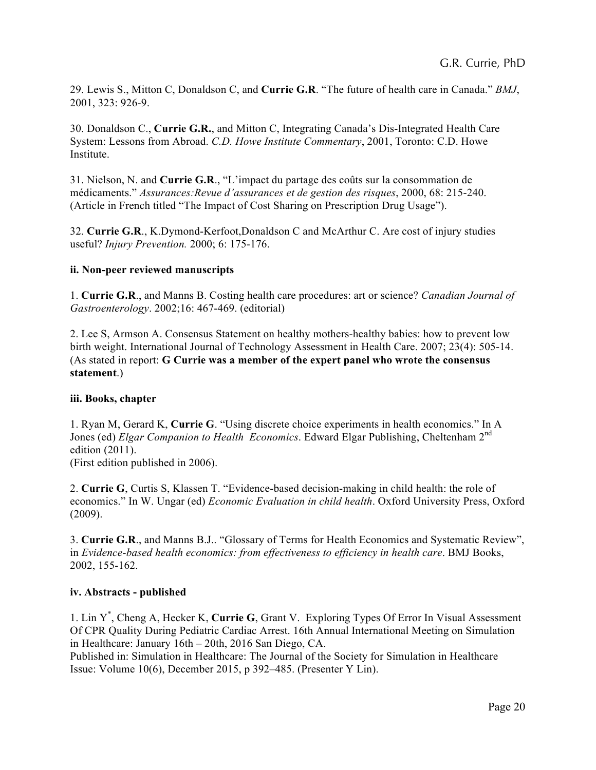29. Lewis S., Mitton C, Donaldson C, and **Currie G.R**. "The future of health care in Canada." *BMJ*, 2001, 323: 926-9.

30. Donaldson C., **Currie G.R.**, and Mitton C, Integrating Canada's Dis-Integrated Health Care System: Lessons from Abroad. *C.D. Howe Institute Commentary*, 2001, Toronto: C.D. Howe Institute.

31. Nielson, N. and **Currie G.R**., "L'impact du partage des coûts sur la consommation de médicaments." *Assurances:Revue d'assurances et de gestion des risques*, 2000, 68: 215-240. (Article in French titled "The Impact of Cost Sharing on Prescription Drug Usage").

32. **Currie G.R**., K.Dymond-Kerfoot,Donaldson C and McArthur C. Are cost of injury studies useful? *Injury Prevention.* 2000; 6: 175-176.

### **ii. Non-peer reviewed manuscripts**

1. **Currie G.R**., and Manns B. Costing health care procedures: art or science? *Canadian Journal of Gastroenterology*. 2002;16: 467-469. (editorial)

2. Lee S, Armson A. Consensus Statement on healthy mothers-healthy babies: how to prevent low birth weight. International Journal of Technology Assessment in Health Care. 2007; 23(4): 505-14. (As stated in report: **G Currie was a member of the expert panel who wrote the consensus statement**.)

### **iii. Books, chapter**

1. Ryan M, Gerard K, **Currie G**. "Using discrete choice experiments in health economics." In A Jones (ed) *Elgar Companion to Health Economics*. Edward Elgar Publishing, Cheltenham 2nd edition (2011).

(First edition published in 2006).

2. **Currie G**, Curtis S, Klassen T. "Evidence-based decision-making in child health: the role of economics." In W. Ungar (ed) *Economic Evaluation in child health*. Oxford University Press, Oxford (2009).

3. **Currie G.R**., and Manns B.J.. "Glossary of Terms for Health Economics and Systematic Review", in *Evidence-based health economics: from effectiveness to efficiency in health care*. BMJ Books, 2002, 155-162.

### **iv. Abstracts - published**

1. Lin Y\* , Cheng A, Hecker K, **Currie G**, Grant V. Exploring Types Of Error In Visual Assessment Of CPR Quality During Pediatric Cardiac Arrest. 16th Annual International Meeting on Simulation in Healthcare: January 16th – 20th, 2016 San Diego, CA.

Published in: Simulation in Healthcare: The Journal of the Society for Simulation in Healthcare Issue: Volume 10(6), December 2015, p 392–485. (Presenter Y Lin).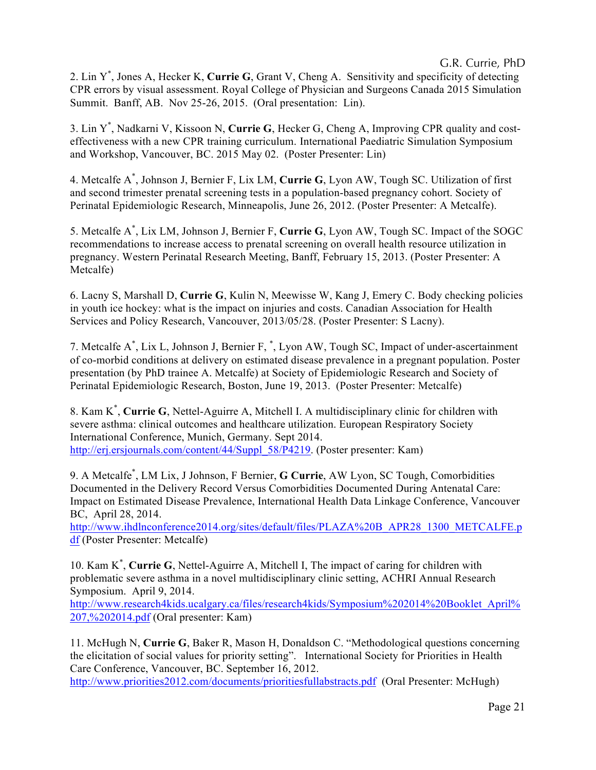2. Lin Y\* , Jones A, Hecker K, **Currie G**, Grant V, Cheng A. Sensitivity and specificity of detecting CPR errors by visual assessment. Royal College of Physician and Surgeons Canada 2015 Simulation Summit. Banff, AB. Nov 25-26, 2015. (Oral presentation: Lin).

3. Lin Y\* , Nadkarni V, Kissoon N, **Currie G**, Hecker G, Cheng A, Improving CPR quality and costeffectiveness with a new CPR training curriculum. International Paediatric Simulation Symposium and Workshop, Vancouver, BC. 2015 May 02. (Poster Presenter: Lin)

4. Metcalfe A\* , Johnson J, Bernier F, Lix LM, **Currie G**, Lyon AW, Tough SC. Utilization of first and second trimester prenatal screening tests in a population-based pregnancy cohort. Society of Perinatal Epidemiologic Research, Minneapolis, June 26, 2012. (Poster Presenter: A Metcalfe).

5. Metcalfe A\* , Lix LM, Johnson J, Bernier F, **Currie G**, Lyon AW, Tough SC. Impact of the SOGC recommendations to increase access to prenatal screening on overall health resource utilization in pregnancy. Western Perinatal Research Meeting, Banff, February 15, 2013. (Poster Presenter: A Metcalfe)

6. Lacny S, Marshall D, **Currie G**, Kulin N, Meewisse W, Kang J, Emery C. Body checking policies in youth ice hockey: what is the impact on injuries and costs. Canadian Association for Health Services and Policy Research, Vancouver, 2013/05/28. (Poster Presenter: S Lacny).

7. Metcalfe A\* , Lix L, Johnson J, Bernier F, \* , Lyon AW, Tough SC, Impact of under-ascertainment of co-morbid conditions at delivery on estimated disease prevalence in a pregnant population. Poster presentation (by PhD trainee A. Metcalfe) at Society of Epidemiologic Research and Society of Perinatal Epidemiologic Research, Boston, June 19, 2013. (Poster Presenter: Metcalfe)

8. Kam K\* , **Currie G**, Nettel-Aguirre A, Mitchell I. A multidisciplinary clinic for children with severe asthma: clinical outcomes and healthcare utilization. European Respiratory Society International Conference, Munich, Germany. Sept 2014. http://erj.ersjournals.com/content/44/Suppl\_58/P4219. (Poster presenter: Kam)

9. A Metcalfe\* , LM Lix, J Johnson, F Bernier, **G Currie**, AW Lyon, SC Tough, Comorbidities Documented in the Delivery Record Versus Comorbidities Documented During Antenatal Care: Impact on Estimated Disease Prevalence, International Health Data Linkage Conference, Vancouver BC, April 28, 2014.

http://www.ihdlnconference2014.org/sites/default/files/PLAZA%20B\_APR28\_1300\_METCALFE.p df (Poster Presenter: Metcalfe)

10. Kam K\* , **Currie G**, Nettel-Aguirre A, Mitchell I, The impact of caring for children with problematic severe asthma in a novel multidisciplinary clinic setting, ACHRI Annual Research Symposium. April 9, 2014. http://www.research4kids.ucalgary.ca/files/research4kids/Symposium%202014%20Booklet\_April%

207,%202014.pdf (Oral presenter: Kam)

11. McHugh N, **Currie G**, Baker R, Mason H, Donaldson C. "Methodological questions concerning the elicitation of social values for priority setting". International Society for Priorities in Health Care Conference, Vancouver, BC. September 16, 2012. http://www.priorities2012.com/documents/prioritiesfullabstracts.pdf (Oral Presenter: McHugh)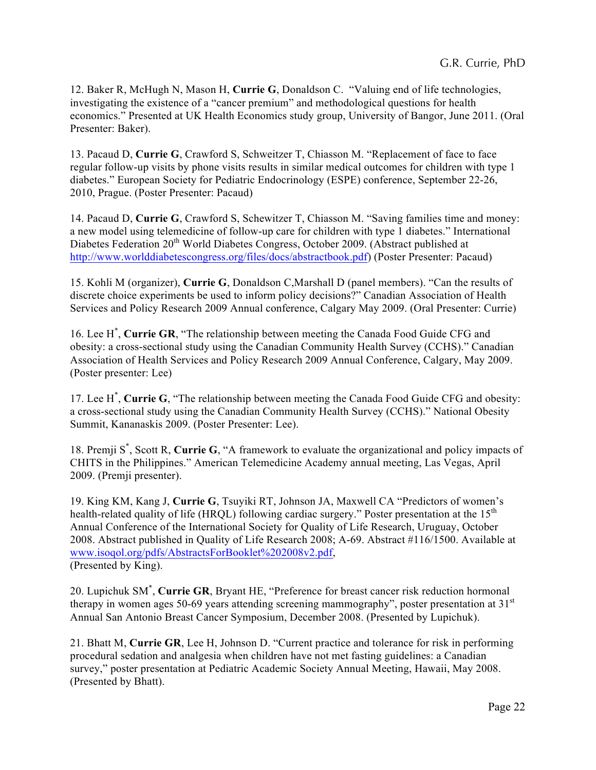12. Baker R, McHugh N, Mason H, **Currie G**, Donaldson C. "Valuing end of life technologies, investigating the existence of a "cancer premium" and methodological questions for health economics." Presented at UK Health Economics study group, University of Bangor, June 2011. (Oral Presenter: Baker).

13. Pacaud D, **Currie G**, Crawford S, Schweitzer T, Chiasson M. "Replacement of face to face regular follow-up visits by phone visits results in similar medical outcomes for children with type 1 diabetes." European Society for Pediatric Endocrinology (ESPE) conference, September 22-26, 2010, Prague. (Poster Presenter: Pacaud)

14. Pacaud D, **Currie G**, Crawford S, Schewitzer T, Chiasson M. "Saving families time and money: a new model using telemedicine of follow-up care for children with type 1 diabetes." International Diabetes Federation 20<sup>th</sup> World Diabetes Congress, October 2009. (Abstract published at http://www.worlddiabetescongress.org/files/docs/abstractbook.pdf) (Poster Presenter: Pacaud)

15. Kohli M (organizer), **Currie G**, Donaldson C,Marshall D (panel members). "Can the results of discrete choice experiments be used to inform policy decisions?" Canadian Association of Health Services and Policy Research 2009 Annual conference, Calgary May 2009. (Oral Presenter: Currie)

16. Lee H\* , **Currie GR**, "The relationship between meeting the Canada Food Guide CFG and obesity: a cross-sectional study using the Canadian Community Health Survey (CCHS)." Canadian Association of Health Services and Policy Research 2009 Annual Conference, Calgary, May 2009. (Poster presenter: Lee)

17. Lee H\* , **Currie G**, "The relationship between meeting the Canada Food Guide CFG and obesity: a cross-sectional study using the Canadian Community Health Survey (CCHS)." National Obesity Summit, Kananaskis 2009. (Poster Presenter: Lee).

18. Premji S\* , Scott R, **Currie G**, "A framework to evaluate the organizational and policy impacts of CHITS in the Philippines." American Telemedicine Academy annual meeting, Las Vegas, April 2009. (Premji presenter).

19. King KM, Kang J, **Currie G**, Tsuyiki RT, Johnson JA, Maxwell CA "Predictors of women's health-related quality of life (HRQL) following cardiac surgery." Poster presentation at the 15<sup>th</sup> Annual Conference of the International Society for Quality of Life Research, Uruguay, October 2008. Abstract published in Quality of Life Research 2008; A-69. Abstract #116/1500. Available at www.isoqol.org/pdfs/AbstractsForBooklet%202008v2.pdf, (Presented by King).

20. Lupichuk SM\* , **Currie GR**, Bryant HE, "Preference for breast cancer risk reduction hormonal therapy in women ages 50-69 years attending screening mammography", poster presentation at  $31<sup>st</sup>$ Annual San Antonio Breast Cancer Symposium, December 2008. (Presented by Lupichuk).

21. Bhatt M, **Currie GR**, Lee H, Johnson D. "Current practice and tolerance for risk in performing procedural sedation and analgesia when children have not met fasting guidelines: a Canadian survey," poster presentation at Pediatric Academic Society Annual Meeting, Hawaii, May 2008. (Presented by Bhatt).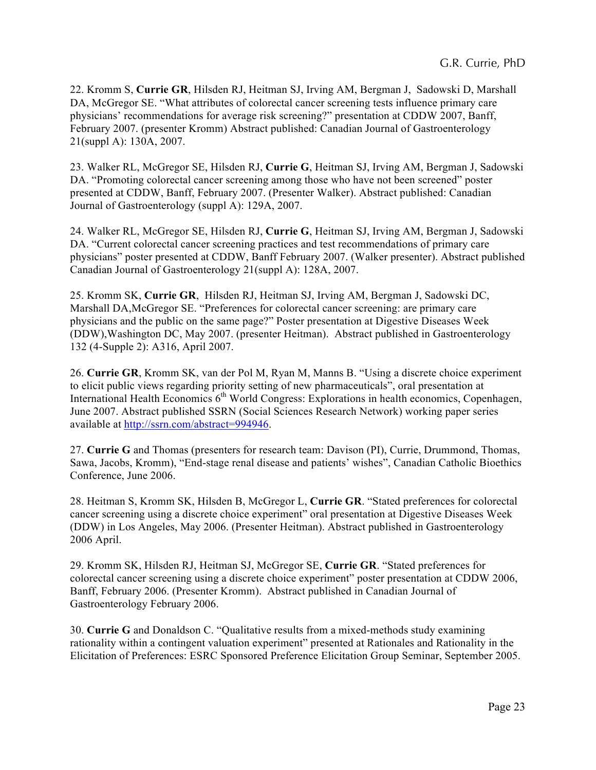22. Kromm S, **Currie GR**, Hilsden RJ, Heitman SJ, Irving AM, Bergman J, Sadowski D, Marshall DA, McGregor SE. "What attributes of colorectal cancer screening tests influence primary care physicians' recommendations for average risk screening?" presentation at CDDW 2007, Banff, February 2007. (presenter Kromm) Abstract published: Canadian Journal of Gastroenterology 21(suppl A): 130A, 2007.

23. Walker RL, McGregor SE, Hilsden RJ, **Currie G**, Heitman SJ, Irving AM, Bergman J, Sadowski DA. "Promoting colorectal cancer screening among those who have not been screened" poster presented at CDDW, Banff, February 2007. (Presenter Walker). Abstract published: Canadian Journal of Gastroenterology (suppl A): 129A, 2007.

24. Walker RL, McGregor SE, Hilsden RJ, **Currie G**, Heitman SJ, Irving AM, Bergman J, Sadowski DA. "Current colorectal cancer screening practices and test recommendations of primary care physicians" poster presented at CDDW, Banff February 2007. (Walker presenter). Abstract published Canadian Journal of Gastroenterology 21(suppl A): 128A, 2007.

25. Kromm SK, **Currie GR**, Hilsden RJ, Heitman SJ, Irving AM, Bergman J, Sadowski DC, Marshall DA,McGregor SE. "Preferences for colorectal cancer screening: are primary care physicians and the public on the same page?" Poster presentation at Digestive Diseases Week (DDW),Washington DC, May 2007. (presenter Heitman). Abstract published in Gastroenterology 132 (4-Supple 2): A316, April 2007.

26. **Currie GR**, Kromm SK, van der Pol M, Ryan M, Manns B. "Using a discrete choice experiment to elicit public views regarding priority setting of new pharmaceuticals", oral presentation at International Health Economics  $6<sup>th</sup>$  World Congress: Explorations in health economics, Copenhagen, June 2007. Abstract published SSRN (Social Sciences Research Network) working paper series available at http://ssrn.com/abstract=994946.

27. **Currie G** and Thomas (presenters for research team: Davison (PI), Currie, Drummond, Thomas, Sawa, Jacobs, Kromm), "End-stage renal disease and patients' wishes", Canadian Catholic Bioethics Conference, June 2006.

28. Heitman S, Kromm SK, Hilsden B, McGregor L, **Currie GR**. "Stated preferences for colorectal cancer screening using a discrete choice experiment" oral presentation at Digestive Diseases Week (DDW) in Los Angeles, May 2006. (Presenter Heitman). Abstract published in Gastroenterology 2006 April.

29. Kromm SK, Hilsden RJ, Heitman SJ, McGregor SE, **Currie GR**. "Stated preferences for colorectal cancer screening using a discrete choice experiment" poster presentation at CDDW 2006, Banff, February 2006. (Presenter Kromm). Abstract published in Canadian Journal of Gastroenterology February 2006.

30. **Currie G** and Donaldson C. "Qualitative results from a mixed-methods study examining rationality within a contingent valuation experiment" presented at Rationales and Rationality in the Elicitation of Preferences: ESRC Sponsored Preference Elicitation Group Seminar, September 2005.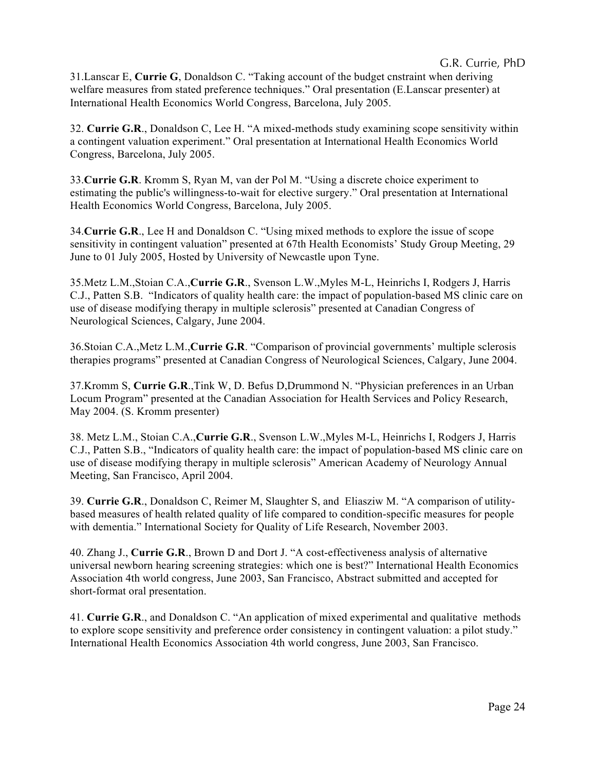31.Lanscar E, **Currie G**, Donaldson C. "Taking account of the budget cnstraint when deriving welfare measures from stated preference techniques." Oral presentation (E.Lanscar presenter) at International Health Economics World Congress, Barcelona, July 2005.

32. **Currie G.R**., Donaldson C, Lee H. "A mixed-methods study examining scope sensitivity within a contingent valuation experiment." Oral presentation at International Health Economics World Congress, Barcelona, July 2005.

33.**Currie G.R**. Kromm S, Ryan M, van der Pol M. "Using a discrete choice experiment to estimating the public's willingness-to-wait for elective surgery." Oral presentation at International Health Economics World Congress, Barcelona, July 2005.

34.**Currie G.R**., Lee H and Donaldson C. "Using mixed methods to explore the issue of scope sensitivity in contingent valuation" presented at 67th Health Economists' Study Group Meeting, 29 June to 01 July 2005, Hosted by University of Newcastle upon Tyne.

35.Metz L.M.,Stoian C.A.,**Currie G.R**., Svenson L.W.,Myles M-L, Heinrichs I, Rodgers J, Harris C.J., Patten S.B. "Indicators of quality health care: the impact of population-based MS clinic care on use of disease modifying therapy in multiple sclerosis" presented at Canadian Congress of Neurological Sciences, Calgary, June 2004.

36.Stoian C.A.,Metz L.M.,**Currie G.R**. "Comparison of provincial governments' multiple sclerosis therapies programs" presented at Canadian Congress of Neurological Sciences, Calgary, June 2004.

37.Kromm S, **Currie G.R**.,Tink W, D. Befus D,Drummond N. "Physician preferences in an Urban Locum Program" presented at the Canadian Association for Health Services and Policy Research, May 2004. (S. Kromm presenter)

38. Metz L.M., Stoian C.A.,**Currie G.R**., Svenson L.W.,Myles M-L, Heinrichs I, Rodgers J, Harris C.J., Patten S.B., "Indicators of quality health care: the impact of population-based MS clinic care on use of disease modifying therapy in multiple sclerosis" American Academy of Neurology Annual Meeting, San Francisco, April 2004.

39. **Currie G.R**., Donaldson C, Reimer M, Slaughter S, and Eliasziw M. "A comparison of utilitybased measures of health related quality of life compared to condition-specific measures for people with dementia." International Society for Quality of Life Research, November 2003.

40. Zhang J., **Currie G.R**., Brown D and Dort J. "A cost-effectiveness analysis of alternative universal newborn hearing screening strategies: which one is best?" International Health Economics Association 4th world congress, June 2003, San Francisco, Abstract submitted and accepted for short-format oral presentation.

41. **Currie G.R**., and Donaldson C. "An application of mixed experimental and qualitative methods to explore scope sensitivity and preference order consistency in contingent valuation: a pilot study." International Health Economics Association 4th world congress, June 2003, San Francisco.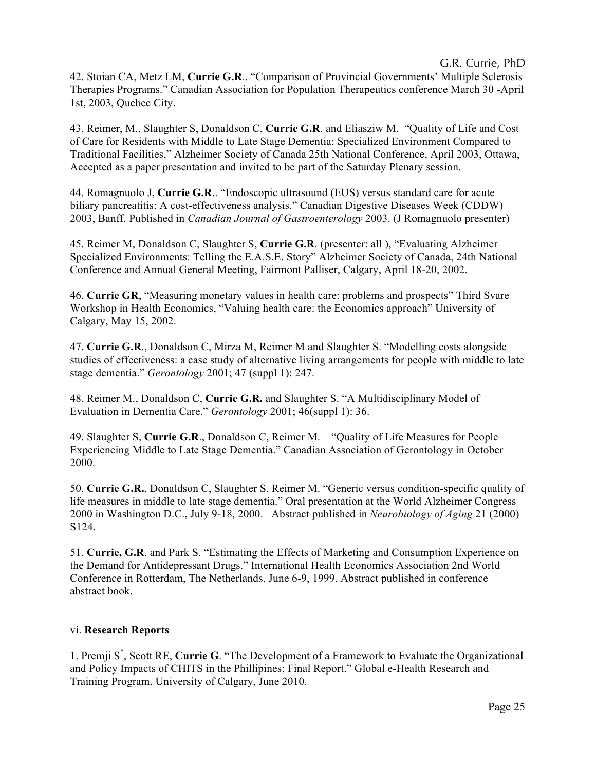G.R. Currie, PhD

42. Stoian CA, Metz LM, **Currie G.R**.. "Comparison of Provincial Governments' Multiple Sclerosis Therapies Programs." Canadian Association for Population Therapeutics conference March 30 -April 1st, 2003, Quebec City.

43. Reimer, M., Slaughter S, Donaldson C, **Currie G.R**. and Eliasziw M. "Quality of Life and Cost of Care for Residents with Middle to Late Stage Dementia: Specialized Environment Compared to Traditional Facilities," Alzheimer Society of Canada 25th National Conference, April 2003, Ottawa, Accepted as a paper presentation and invited to be part of the Saturday Plenary session.

44. Romagnuolo J, **Currie G.R**.. "Endoscopic ultrasound (EUS) versus standard care for acute biliary pancreatitis: A cost-effectiveness analysis." Canadian Digestive Diseases Week (CDDW) 2003, Banff. Published in *Canadian Journal of Gastroenterology* 2003. (J Romagnuolo presenter)

45. Reimer M, Donaldson C, Slaughter S, **Currie G.R**. (presenter: all ), "Evaluating Alzheimer Specialized Environments: Telling the E.A.S.E. Story" Alzheimer Society of Canada, 24th National Conference and Annual General Meeting, Fairmont Palliser, Calgary, April 18-20, 2002.

46. **Currie GR**, "Measuring monetary values in health care: problems and prospects" Third Svare Workshop in Health Economics, "Valuing health care: the Economics approach" University of Calgary, May 15, 2002.

47. **Currie G.R**., Donaldson C, Mirza M, Reimer M and Slaughter S. "Modelling costs alongside studies of effectiveness: a case study of alternative living arrangements for people with middle to late stage dementia." *Gerontology* 2001; 47 (suppl 1): 247.

48. Reimer M., Donaldson C, **Currie G.R.** and Slaughter S. "A Multidisciplinary Model of Evaluation in Dementia Care." *Gerontology* 2001; 46(suppl 1): 36.

49. Slaughter S, **Currie G.R**., Donaldson C, Reimer M. "Quality of Life Measures for People Experiencing Middle to Late Stage Dementia." Canadian Association of Gerontology in October 2000.

50. **Currie G.R.**, Donaldson C, Slaughter S, Reimer M. "Generic versus condition-specific quality of life measures in middle to late stage dementia." Oral presentation at the World Alzheimer Congress 2000 in Washington D.C., July 9-18, 2000. Abstract published in *Neurobiology of Aging* 21 (2000) S124.

51. **Currie, G.R**. and Park S. "Estimating the Effects of Marketing and Consumption Experience on the Demand for Antidepressant Drugs." International Health Economics Association 2nd World Conference in Rotterdam, The Netherlands, June 6-9, 1999. Abstract published in conference abstract book.

## vi. **Research Reports**

1. Premji S\* , Scott RE, **Currie G**. "The Development of a Framework to Evaluate the Organizational and Policy Impacts of CHITS in the Phillipines: Final Report." Global e-Health Research and Training Program, University of Calgary, June 2010.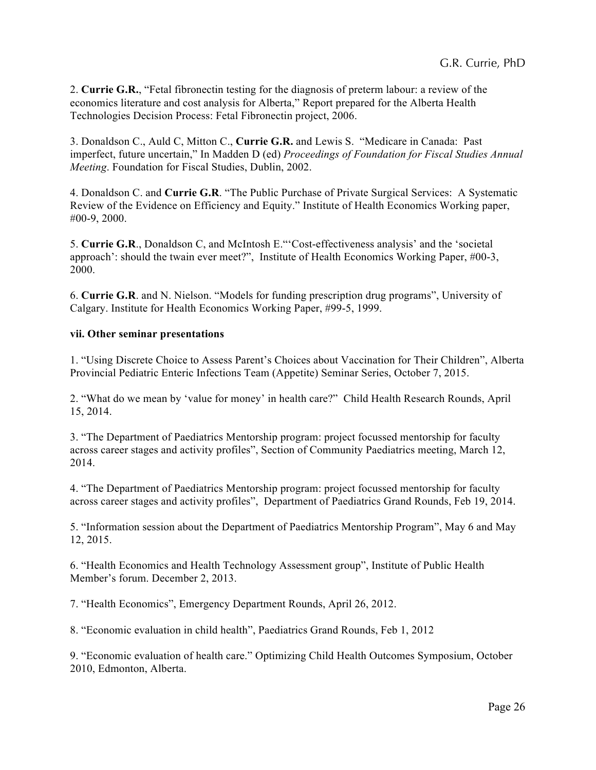2. **Currie G.R.**, "Fetal fibronectin testing for the diagnosis of preterm labour: a review of the economics literature and cost analysis for Alberta," Report prepared for the Alberta Health Technologies Decision Process: Fetal Fibronectin project, 2006.

3. Donaldson C., Auld C, Mitton C., **Currie G.R.** and Lewis S. "Medicare in Canada: Past imperfect, future uncertain," In Madden D (ed) *Proceedings of Foundation for Fiscal Studies Annual Meeting*. Foundation for Fiscal Studies, Dublin, 2002.

4. Donaldson C. and **Currie G.R**. "The Public Purchase of Private Surgical Services: A Systematic Review of the Evidence on Efficiency and Equity." Institute of Health Economics Working paper, #00-9, 2000.

5. **Currie G.R**., Donaldson C, and McIntosh E."'Cost-effectiveness analysis' and the 'societal approach': should the twain ever meet?", Institute of Health Economics Working Paper, #00-3, 2000.

6. **Currie G.R**. and N. Nielson. "Models for funding prescription drug programs", University of Calgary. Institute for Health Economics Working Paper, #99-5, 1999.

### **vii. Other seminar presentations**

1. "Using Discrete Choice to Assess Parent's Choices about Vaccination for Their Children", Alberta Provincial Pediatric Enteric Infections Team (Appetite) Seminar Series, October 7, 2015.

2. "What do we mean by 'value for money' in health care?" Child Health Research Rounds, April 15, 2014.

3. "The Department of Paediatrics Mentorship program: project focussed mentorship for faculty across career stages and activity profiles", Section of Community Paediatrics meeting, March 12, 2014.

4. "The Department of Paediatrics Mentorship program: project focussed mentorship for faculty across career stages and activity profiles", Department of Paediatrics Grand Rounds, Feb 19, 2014.

5. "Information session about the Department of Paediatrics Mentorship Program", May 6 and May 12, 2015.

6. "Health Economics and Health Technology Assessment group", Institute of Public Health Member's forum. December 2, 2013.

7. "Health Economics", Emergency Department Rounds, April 26, 2012.

8. "Economic evaluation in child health", Paediatrics Grand Rounds, Feb 1, 2012

9. "Economic evaluation of health care." Optimizing Child Health Outcomes Symposium, October 2010, Edmonton, Alberta.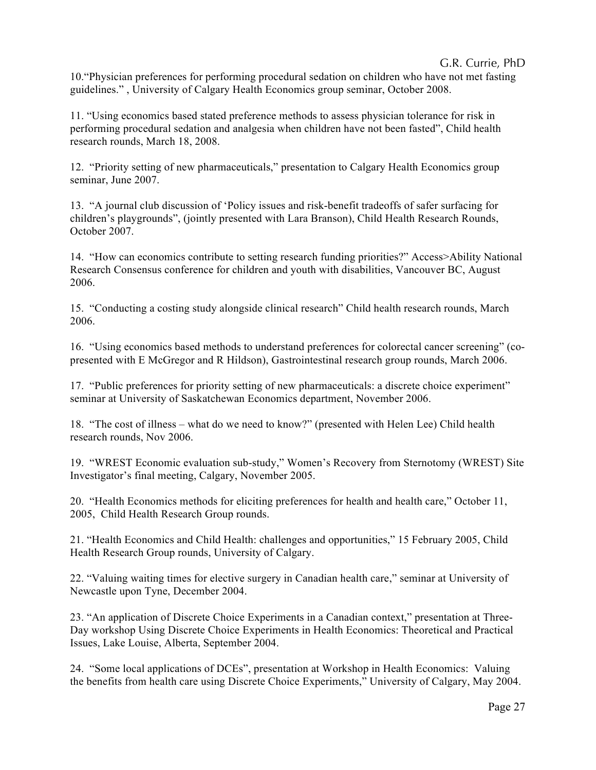## G.R. Currie, PhD

10."Physician preferences for performing procedural sedation on children who have not met fasting guidelines." , University of Calgary Health Economics group seminar, October 2008.

11. "Using economics based stated preference methods to assess physician tolerance for risk in performing procedural sedation and analgesia when children have not been fasted", Child health research rounds, March 18, 2008.

12. "Priority setting of new pharmaceuticals," presentation to Calgary Health Economics group seminar, June 2007.

13. "A journal club discussion of 'Policy issues and risk-benefit tradeoffs of safer surfacing for children's playgrounds", (jointly presented with Lara Branson), Child Health Research Rounds, October 2007.

14. "How can economics contribute to setting research funding priorities?" Access>Ability National Research Consensus conference for children and youth with disabilities, Vancouver BC, August 2006.

15. "Conducting a costing study alongside clinical research" Child health research rounds, March 2006.

16. "Using economics based methods to understand preferences for colorectal cancer screening" (copresented with E McGregor and R Hildson), Gastrointestinal research group rounds, March 2006.

17. "Public preferences for priority setting of new pharmaceuticals: a discrete choice experiment" seminar at University of Saskatchewan Economics department, November 2006.

18. "The cost of illness – what do we need to know?" (presented with Helen Lee) Child health research rounds, Nov 2006.

19. "WREST Economic evaluation sub-study," Women's Recovery from Sternotomy (WREST) Site Investigator's final meeting, Calgary, November 2005.

20. "Health Economics methods for eliciting preferences for health and health care," October 11, 2005, Child Health Research Group rounds.

21. "Health Economics and Child Health: challenges and opportunities," 15 February 2005, Child Health Research Group rounds, University of Calgary.

22. "Valuing waiting times for elective surgery in Canadian health care," seminar at University of Newcastle upon Tyne, December 2004.

23. "An application of Discrete Choice Experiments in a Canadian context," presentation at Three-Day workshop Using Discrete Choice Experiments in Health Economics: Theoretical and Practical Issues, Lake Louise, Alberta, September 2004.

24. "Some local applications of DCEs", presentation at Workshop in Health Economics: Valuing the benefits from health care using Discrete Choice Experiments," University of Calgary, May 2004.